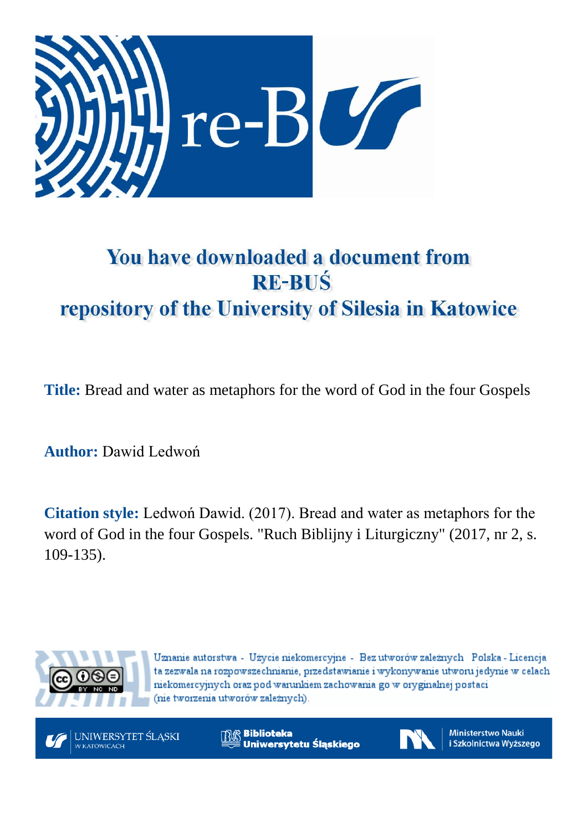

# You have downloaded a document from **RE-BUŚ** repository of the University of Silesia in Katowice

**Title:** Bread and water as metaphors for the word of God in the four Gospels

**Author:** Dawid Ledwoń

**Citation style:** Ledwoń Dawid. (2017). Bread and water as metaphors for the word of God in the four Gospels. "Ruch Biblijny i Liturgiczny" (2017, nr 2, s. 109-135).



Uznanie autorstwa - Użycie niekomercyjne - Bez utworów zależnych Polska - Licencja ta zezwala na rozpowszechnianie, przedstawianie i wykonywanie utworu jedynie w celach niekomercyjnych oraz pod warunkiem zachowania go w oryginalnej postaci (nie tworzenia utworów zależnych).



**Biblioteka** Uniwersytetu Śląskiego



**Ministerstwo Nauki** i Szkolnictwa Wyższego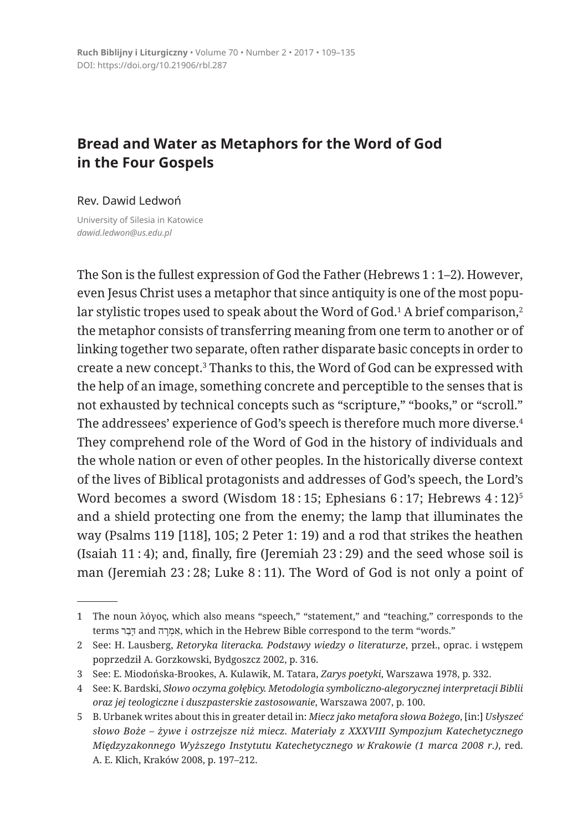# **Bread and Water as Metaphors for the Word of God in the Four Gospels**

#### Rev. Dawid Ledwoń

University of Silesia in Katowice *dawid.ledwon@us.edu.pl*

The Son is the fullest expression of God the Father (Hebrews 1 : 1–2). However, even Jesus Christ uses a metaphor that since antiquity is one of the most popular stylistic tropes used to speak about the Word of God.<del>'</del> A brief comparison,<del>'</del> the metaphor consists of transferring meaning from one term to another or of linking together two separate, often rather disparate basic concepts in order to create a new concept.<sup>3</sup> Thanks to this, the Word of God can be expressed with the help of an image, something concrete and perceptible to the senses that is not exhausted by technical concepts such as "scripture," "books," or "scroll." The addressees' experience of God's speech is therefore much more diverse.<sup>4</sup> They comprehend role of the Word of God in the history of individuals and the whole nation or even of other peoples. In the historically diverse context of the lives of Biblical protagonists and addresses of God's speech, the Lord's Word becomes a sword (Wisdom 18:15; Ephesians 6:17; Hebrews 4:12)<sup>5</sup> and a shield protecting one from the enemy; the lamp that illuminates the way (Psalms 119 [118], 105; 2 Peter 1: 19) and a rod that strikes the heathen (Isaiah 11 : 4); and, finally, fire (Jeremiah  $23:29$ ) and the seed whose soil is man (Jeremiah 23 : 28; Luke 8 : 11). The Word of God is not only a point of

<sup>1</sup> The noun λόγος, which also means "speech," "statement," and "teaching," corresponds to the terms רַבָּר and הִמְרָה, which in the Hebrew Bible correspond to the term "words."

<sup>2</sup> See: H. Lausberg, *Retoryka literacka. Podstawy wiedzy o literaturze*, przeł., oprac. i wstępem poprzedził A. Gorzkowski, Bydgoszcz 2002, p. 316.

<sup>3</sup> See: E. Miodońska-Brookes, A. Kulawik, M. Tatara, *Zarys poetyki*, Warszawa 1978, p. 332.

<sup>4</sup> See: K. Bardski, *Słowo oczyma gołębicy. Metodologia symboliczno-alegorycznej interpretacji Biblii oraz jej teologiczne i duszpasterskie zastosowanie*, Warszawa 2007, p. 100.

<sup>5</sup> B. Urbanek writes about this in greater detail in: *Miecz jako metafora słowa Bożego*, [in:] *Usłyszeć słowo Boże – żywe i ostrzejsze niż miecz. Materiały z XXXVIII Sympozjum Katechetycznego Międzyzakonnego Wyższego Instytutu Katechetycznego w Krakowie (1 marca 2008 r.)*, red. A. E. Klich, Kraków 2008, p. 197–212.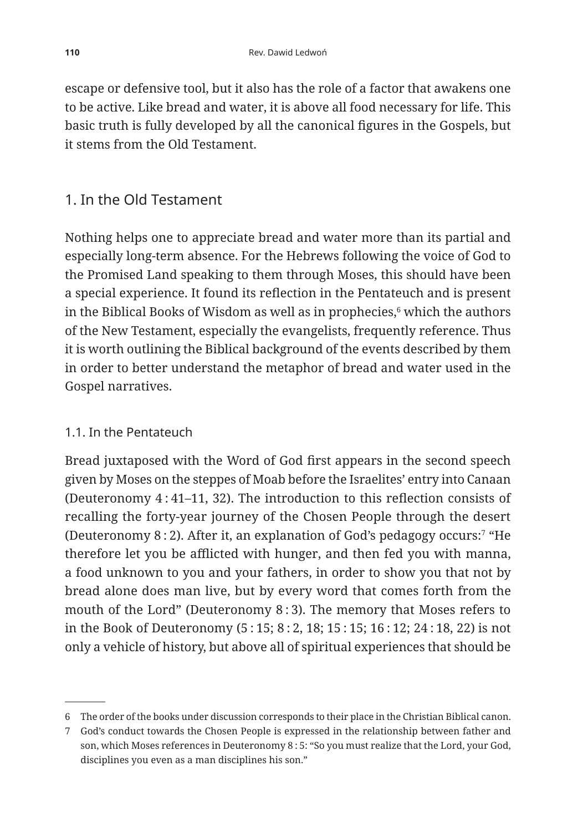escape or defensive tool, but it also has the role of a factor that awakens one to be active. Like bread and water, it is above all food necessary for life. This basic truth is fully developed by all the canonical figures in the Gospels, but it stems from the Old Testament.

## 1. In the Old Testament

Nothing helps one to appreciate bread and water more than its partial and especially long-term absence. For the Hebrews following the voice of God to the Promised Land speaking to them through Moses, this should have been a special experience. It found its reflection in the Pentateuch and is present in the Biblical Books of Wisdom as well as in prophecies, $\mathfrak s$  which the authors of the New Testament, especially the evangelists, frequently reference. Thus it is worth outlining the Biblical background of the events described by them in order to better understand the metaphor of bread and water used in the Gospel narratives.

### 1.1. In the Pentateuch

Bread juxtaposed with the Word of God first appears in the second speech given by Moses on the steppes of Moab before the Israelites' entry into Canaan (Deuteronomy 4 : 41–11, 32). The introduction to this reflection consists of recalling the forty-year journey of the Chosen People through the desert (Deuteronomy 8 : 2). After it, an explanation of God's pedagogy occurs:7 "He therefore let you be afflicted with hunger, and then fed you with manna, a food unknown to you and your fathers, in order to show you that not by bread alone does man live, but by every word that comes forth from the mouth of the Lord" (Deuteronomy 8 : 3). The memory that Moses refers to in the Book of Deuteronomy (5 : 15; 8 : 2, 18; 15 : 15; 16 : 12; 24 : 18, 22) is not only a vehicle of history, but above all of spiritual experiences that should be

<sup>6</sup> The order of the books under discussion corresponds to their place in the Christian Biblical canon.

<sup>7</sup> God's conduct towards the Chosen People is expressed in the relationship between father and son, which Moses references in Deuteronomy 8 : 5: "So you must realize that the Lord, your God, disciplines you even as a man disciplines his son."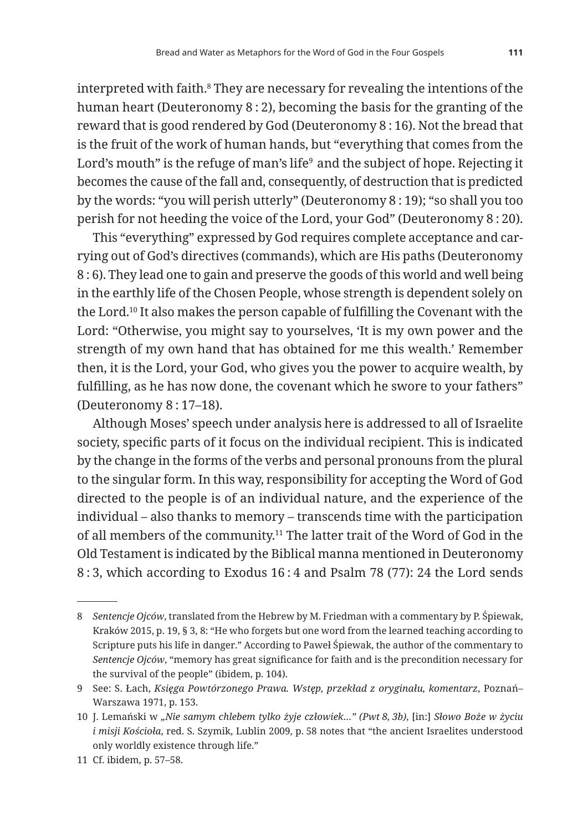interpreted with faith.<sup>8</sup> They are necessary for revealing the intentions of the human heart (Deuteronomy 8 : 2), becoming the basis for the granting of the reward that is good rendered by God (Deuteronomy 8 : 16). Not the bread that is the fruit of the work of human hands, but "everything that comes from the

Lord's mouth" is the refuge of man's life<sup>9</sup> and the subject of hope. Rejecting it becomes the cause of the fall and, consequently, of destruction that is predicted by the words: "you will perish utterly" (Deuteronomy 8 : 19); "so shall you too perish for not heeding the voice of the Lord, your God" (Deuteronomy 8 : 20). This "everything" expressed by God requires complete acceptance and car-

rying out of God's directives (commands), which are His paths (Deuteronomy 8 : 6). They lead one to gain and preserve the goods of this world and well being in the earthly life of the Chosen People, whose strength is dependent solely on the Lord.10 It also makes the person capable of fulfilling the Covenant with the Lord: "Otherwise, you might say to yourselves, 'It is my own power and the strength of my own hand that has obtained for me this wealth.' Remember then, it is the Lord, your God, who gives you the power to acquire wealth, by fulfilling, as he has now done, the covenant which he swore to your fathers" (Deuteronomy 8 : 17–18).

Although Moses' speech under analysis here is addressed to all of Israelite society, specific parts of it focus on the individual recipient. This is indicated by the change in the forms of the verbs and personal pronouns from the plural to the singular form. In this way, responsibility for accepting the Word of God directed to the people is of an individual nature, and the experience of the individual – also thanks to memory – transcends time with the participation of all members of the community.11 The latter trait of the Word of God in the Old Testament is indicated by the Biblical manna mentioned in Deuteronomy 8 : 3, which according to Exodus 16 : 4 and Psalm 78 (77): 24 the Lord sends

<sup>8</sup> *Sentencje Ojców*, translated from the Hebrew by M. Friedman with a commentary by P. Śpiewak, Kraków 2015, p. 19, § 3, 8: "He who forgets but one word from the learned teaching according to Scripture puts his life in danger." According to Paweł Śpiewak, the author of the commentary to *Sentencje Ojców*, "memory has great significance for faith and is the precondition necessary for the survival of the people" (ibidem, p. 104).

<sup>9</sup> See: S. Łach, *Księga Powtórzonego Prawa. Wstęp, przekład z oryginału, komentarz*, Poznań– Warszawa 1971, p. 153.

<sup>10</sup> J. Lemański w *"Nie samym chlebem tylko żyje człowiek…" (Pwt 8, 3b)*, [in:] *Słowo Boże w życiu i misji Kościoła*, red. S. Szymik, Lublin 2009, p. 58 notes that "the ancient Israelites understood only worldly existence through life."

<sup>11</sup> Cf. ibidem, p. 57–58.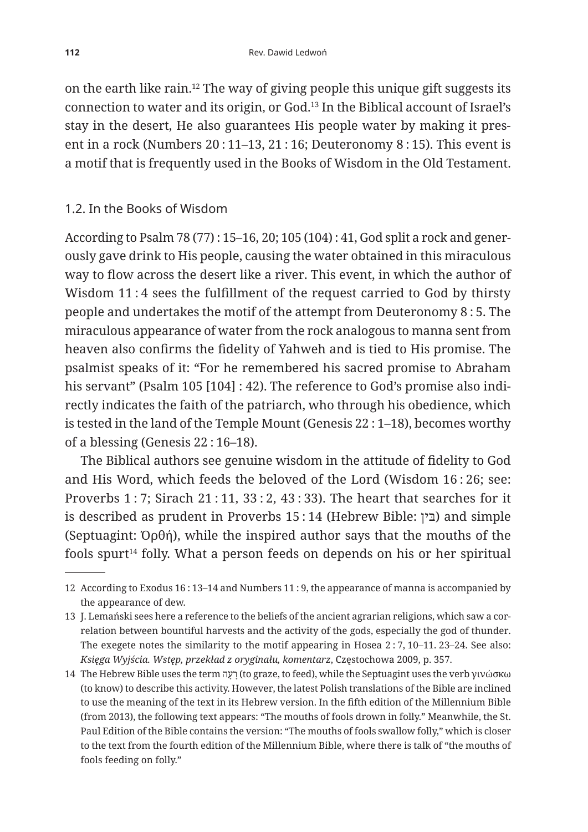on the earth like rain.12 The way of giving people this unique gift suggests its connection to water and its origin, or God.13 In the Biblical account of Israel's stay in the desert, He also guarantees His people water by making it present in a rock (Numbers 20 : 11–13, 21 : 16; Deuteronomy 8 : 15). This event is a motif that is frequently used in the Books of Wisdom in the Old Testament.

#### 1.2. In the Books of Wisdom

According to Psalm 78 (77) : 15–16, 20; 105 (104) : 41, God split a rock and generously gave drink to His people, causing the water obtained in this miraculous way to flow across the desert like a river. This event, in which the author of Wisdom 11 : 4 sees the fulfillment of the request carried to God by thirsty people and undertakes the motif of the attempt from Deuteronomy 8 : 5. The miraculous appearance of water from the rock analogous to manna sent from heaven also confirms the fidelity of Yahweh and is tied to His promise. The psalmist speaks of it: "For he remembered his sacred promise to Abraham his servant" (Psalm 105 [104] : 42). The reference to God's promise also indirectly indicates the faith of the patriarch, who through his obedience, which is tested in the land of the Temple Mount (Genesis 22 : 1–18), becomes worthy of a blessing (Genesis 22 : 16–18).

The Biblical authors see genuine wisdom in the attitude of fidelity to God and His Word, which feeds the beloved of the Lord (Wisdom 16 : 26; see: Proverbs 1 : 7; Sirach 21 : 11, 33 : 2, 43 : 33). The heart that searches for it is described as prudent in Proverbs 15:14 (Hebrew Bible: בין) and simple (Septuagint: Ὀρθή), while the inspired author says that the mouths of the fools spurt<sup>14</sup> folly. What a person feeds on depends on his or her spiritual

<sup>12</sup> According to Exodus 16 : 13–14 and Numbers 11 : 9, the appearance of manna is accompanied by the appearance of dew.

<sup>13</sup> J. Lemański sees here a reference to the beliefs of the ancient agrarian religions, which saw a correlation between bountiful harvests and the activity of the gods, especially the god of thunder. The exegete notes the similarity to the motif appearing in Hosea 2 : 7, 10–11. 23–24. See also: *Księga Wyjścia. Wstęp, przekład z oryginału, komentarz*, Częstochowa 2009, p. 357.

<sup>14</sup> The Hebrew Bible uses the term הָעָה (to graze, to feed), while the Septuagint uses the verb γινώσκω (to know) to describe this activity. However, the latest Polish translations of the Bible are inclined to use the meaning of the text in its Hebrew version. In the fifth edition of the Millennium Bible (from 2013), the following text appears: "The mouths of fools drown in folly." Meanwhile, the St. Paul Edition of the Bible contains the version: "The mouths of fools swallow folly," which is closer to the text from the fourth edition of the Millennium Bible, where there is talk of "the mouths of fools feeding on folly."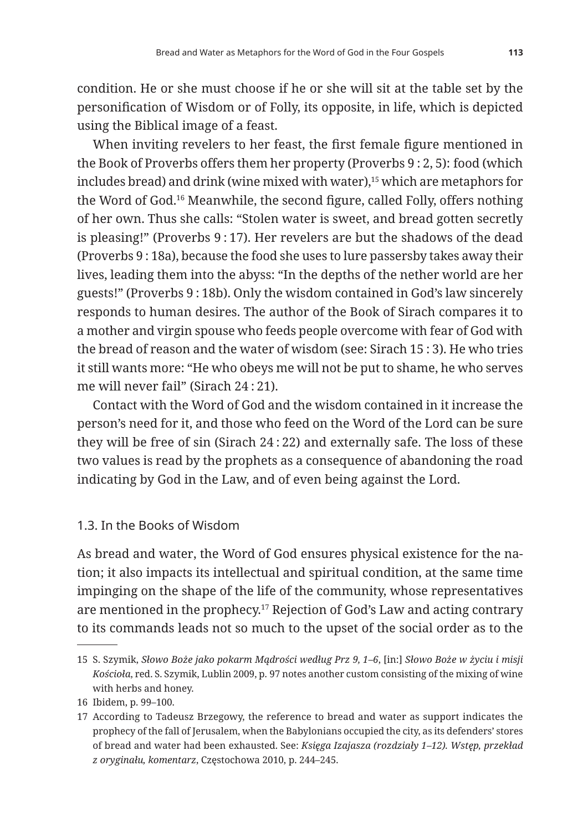condition. He or she must choose if he or she will sit at the table set by the personification of Wisdom or of Folly, its opposite, in life, which is depicted using the Biblical image of a feast.

When inviting revelers to her feast, the first female figure mentioned in the Book of Proverbs offers them her property (Proverbs 9 : 2, 5): food (which includes bread) and drink (wine mixed with water),15 which are metaphors for the Word of God.16 Meanwhile, the second figure, called Folly, offers nothing of her own. Thus she calls: "Stolen water is sweet, and bread gotten secretly is pleasing!" (Proverbs 9 : 17). Her revelers are but the shadows of the dead (Proverbs 9 : 18a), because the food she uses to lure passersby takes away their lives, leading them into the abyss: "In the depths of the nether world are her guests!" (Proverbs 9 : 18b). Only the wisdom contained in God's law sincerely responds to human desires. The author of the Book of Sirach compares it to a mother and virgin spouse who feeds people overcome with fear of God with the bread of reason and the water of wisdom (see: Sirach 15 : 3). He who tries it still wants more: "He who obeys me will not be put to shame, he who serves me will never fail" (Sirach 24 : 21).

Contact with the Word of God and the wisdom contained in it increase the person's need for it, and those who feed on the Word of the Lord can be sure they will be free of sin (Sirach 24 : 22) and externally safe. The loss of these two values is read by the prophets as a consequence of abandoning the road indicating by God in the Law, and of even being against the Lord.

#### 1.3. In the Books of Wisdom

As bread and water, the Word of God ensures physical existence for the nation; it also impacts its intellectual and spiritual condition, at the same time impinging on the shape of the life of the community, whose representatives are mentioned in the prophecy.17 Rejection of God's Law and acting contrary to its commands leads not so much to the upset of the social order as to the

<sup>15</sup> S. Szymik, *Słowo Boże jako pokarm Mądrości według Prz 9, 1–6*, [in:] *Słowo Boże w życiu i misji Kościoła*, red. S. Szymik, Lublin 2009, p. 97 notes another custom consisting of the mixing of wine with herbs and honey.

<sup>16</sup> Ibidem, p. 99–100.

<sup>17</sup> According to Tadeusz Brzegowy, the reference to bread and water as support indicates the prophecy of the fall of Jerusalem, when the Babylonians occupied the city, as its defenders' stores of bread and water had been exhausted. See: *Księga Izajasza (rozdziały 1–12). Wstęp, przekład z oryginału, komentarz*, Częstochowa 2010, p. 244–245.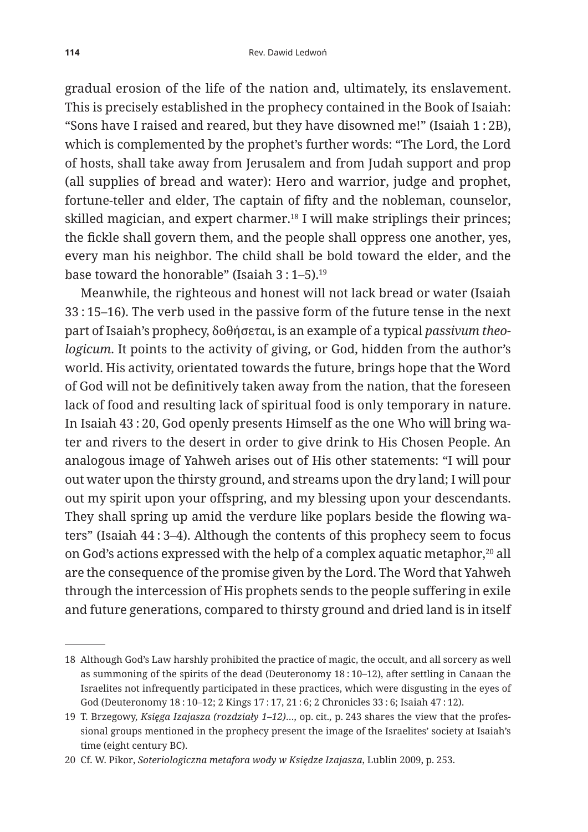gradual erosion of the life of the nation and, ultimately, its enslavement. This is precisely established in the prophecy contained in the Book of Isaiah: "Sons have I raised and reared, but they have disowned me!" (Isaiah 1 : 2B), which is complemented by the prophet's further words: "The Lord, the Lord of hosts, shall take away from Jerusalem and from Judah support and prop (all supplies of bread and water): Hero and warrior, judge and prophet, fortune-teller and elder, The captain of fifty and the nobleman, counselor, skilled magician, and expert charmer.<sup>18</sup> I will make striplings their princes; the fickle shall govern them, and the people shall oppress one another, yes, every man his neighbor. The child shall be bold toward the elder, and the base toward the honorable" (Isaiah 3 : 1–5).19

Meanwhile, the righteous and honest will not lack bread or water (Isaiah 33 : 15–16). The verb used in the passive form of the future tense in the next part of Isaiah's prophecy, δοθήσεται, is an example of a typical *passivum theologicum*. It points to the activity of giving, or God, hidden from the author's world. His activity, orientated towards the future, brings hope that the Word of God will not be definitively taken away from the nation, that the foreseen lack of food and resulting lack of spiritual food is only temporary in nature. In Isaiah 43 : 20, God openly presents Himself as the one Who will bring water and rivers to the desert in order to give drink to His Chosen People. An analogous image of Yahweh arises out of His other statements: "I will pour out water upon the thirsty ground, and streams upon the dry land; I will pour out my spirit upon your offspring, and my blessing upon your descendants. They shall spring up amid the verdure like poplars beside the flowing waters" (Isaiah 44 : 3–4). Although the contents of this prophecy seem to focus on God's actions expressed with the help of a complex aquatic metaphor,<sup>20</sup> all are the consequence of the promise given by the Lord. The Word that Yahweh through the intercession of His prophets sends to the people suffering in exile and future generations, compared to thirsty ground and dried land is in itself

<sup>18</sup> Although God's Law harshly prohibited the practice of magic, the occult, and all sorcery as well as summoning of the spirits of the dead (Deuteronomy 18 : 10–12), after settling in Canaan the Israelites not infrequently participated in these practices, which were disgusting in the eyes of God (Deuteronomy 18 : 10–12; 2 Kings 17 : 17, 21 : 6; 2 Chronicles 33 : 6; Isaiah 47 : 12).

<sup>19</sup> T. Brzegowy, *Księga Izajasza (rozdziały 1–12)*…, op. cit., p. 243 shares the view that the professional groups mentioned in the prophecy present the image of the Israelites' society at Isaiah's time (eight century BC).

<sup>20</sup> Cf. W. Pikor, *Soteriologiczna metafora wody w Księdze Izajasza*, Lublin 2009, p. 253.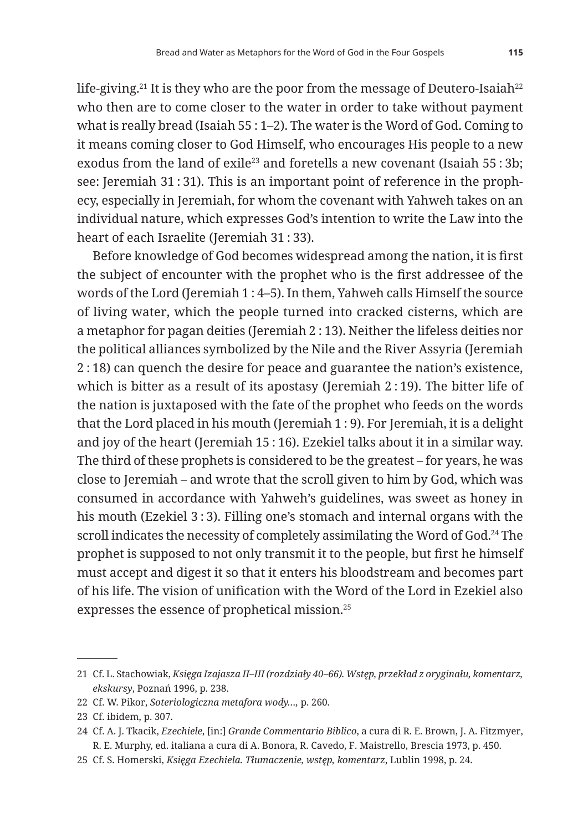life-giving.<sup>21</sup> It is they who are the poor from the message of Deutero-Isaiah<sup>22</sup> who then are to come closer to the water in order to take without payment what is really bread (Isaiah 55 : 1–2). The water is the Word of God. Coming to it means coming closer to God Himself, who encourages His people to a new exodus from the land of exile<sup>23</sup> and foretells a new covenant (Isaiah 55 : 3b: see: Jeremiah 31 : 31). This is an important point of reference in the prophecy, especially in Jeremiah, for whom the covenant with Yahweh takes on an individual nature, which expresses God's intention to write the Law into the heart of each Israelite (Jeremiah 31 : 33).

Before knowledge of God becomes widespread among the nation, it is first the subject of encounter with the prophet who is the first addressee of the words of the Lord (Jeremiah 1 : 4–5). In them, Yahweh calls Himself the source of living water, which the people turned into cracked cisterns, which are a metaphor for pagan deities (Jeremiah 2 : 13). Neither the lifeless deities nor the political alliances symbolized by the Nile and the River Assyria (Jeremiah 2 : 18) can quench the desire for peace and guarantee the nation's existence, which is bitter as a result of its apostasy (Jeremiah 2 : 19). The bitter life of the nation is juxtaposed with the fate of the prophet who feeds on the words that the Lord placed in his mouth (Jeremiah 1:9). For Jeremiah, it is a delight and joy of the heart (Jeremiah 15 : 16). Ezekiel talks about it in a similar way. The third of these prophets is considered to be the greatest – for years, he was close to Jeremiah – and wrote that the scroll given to him by God, which was consumed in accordance with Yahweh's guidelines, was sweet as honey in his mouth (Ezekiel 3 : 3). Filling one's stomach and internal organs with the scroll indicates the necessity of completely assimilating the Word of God.<sup>24</sup> The prophet is supposed to not only transmit it to the people, but first he himself must accept and digest it so that it enters his bloodstream and becomes part of his life. The vision of unification with the Word of the Lord in Ezekiel also expresses the essence of prophetical mission.25

<sup>21</sup> Cf. L. Stachowiak, *Księga Izajasza II–III (rozdziały 40–66). Wstęp, przekład z oryginału, komentarz, ekskursy*, Poznań 1996, p. 238.

<sup>22</sup> Cf. W. Pikor, *Soteriologiczna metafora wody…,* p. 260.

<sup>23</sup> Cf. ibidem, p. 307.

<sup>24</sup> Cf. A. J. Tkacik, *Ezechiele*, [in:] *Grande Commentario Biblico*, a cura di R. E. Brown, J. A. Fitzmyer, R. E. Murphy, ed. italiana a cura di A. Bonora, R. Cavedo, F. Maistrello, Brescia 1973, p. 450.

<sup>25</sup> Cf. S. Homerski, *Księga Ezechiela. Tłumaczenie, wstęp, komentarz*, Lublin 1998, p. 24.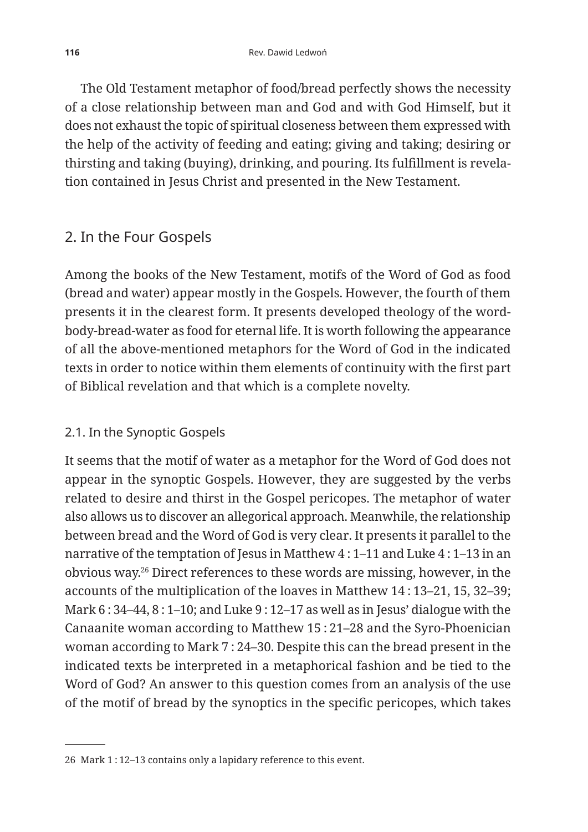The Old Testament metaphor of food/bread perfectly shows the necessity of a close relationship between man and God and with God Himself, but it does not exhaust the topic of spiritual closeness between them expressed with the help of the activity of feeding and eating; giving and taking; desiring or thirsting and taking (buying), drinking, and pouring. Its fulfillment is revelation contained in Jesus Christ and presented in the New Testament.

## 2. In the Four Gospels

Among the books of the New Testament, motifs of the Word of God as food (bread and water) appear mostly in the Gospels. However, the fourth of them presents it in the clearest form. It presents developed theology of the wordbody-bread-water as food for eternal life. It is worth following the appearance of all the above-mentioned metaphors for the Word of God in the indicated texts in order to notice within them elements of continuity with the first part of Biblical revelation and that which is a complete novelty.

## 2.1. In the Synoptic Gospels

It seems that the motif of water as a metaphor for the Word of God does not appear in the synoptic Gospels. However, they are suggested by the verbs related to desire and thirst in the Gospel pericopes. The metaphor of water also allows us to discover an allegorical approach. Meanwhile, the relationship between bread and the Word of God is very clear. It presents it parallel to the narrative of the temptation of Jesus in Matthew 4 : 1–11 and Luke 4 : 1–13 in an obvious way.26 Direct references to these words are missing, however, in the accounts of the multiplication of the loaves in Matthew 14 : 13–21, 15, 32–39; Mark 6 : 34–44, 8 : 1–10; and Luke 9 : 12–17 as well as in Jesus' dialogue with the Canaanite woman according to Matthew 15 : 21–28 and the Syro-Phoenician woman according to Mark 7 : 24–30. Despite this can the bread present in the indicated texts be interpreted in a metaphorical fashion and be tied to the Word of God? An answer to this question comes from an analysis of the use of the motif of bread by the synoptics in the specific pericopes, which takes

<sup>26</sup> Mark 1 : 12–13 contains only a lapidary reference to this event.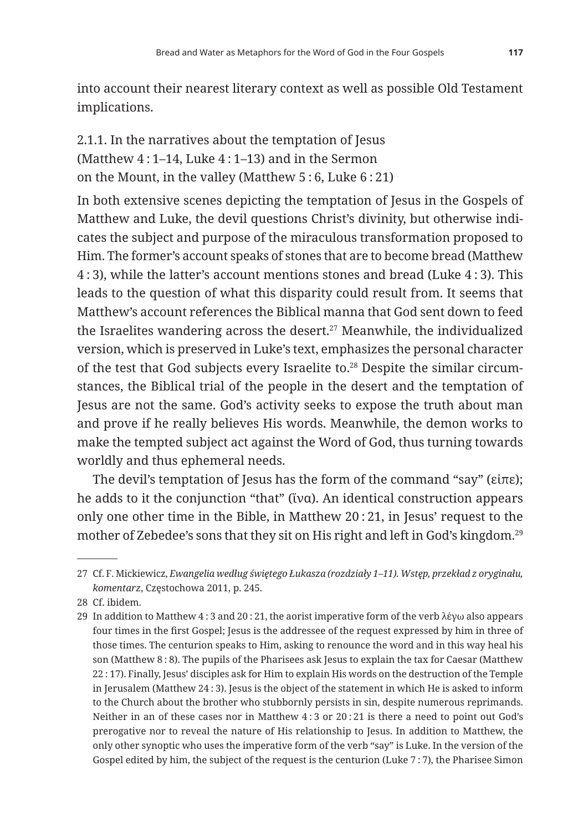into account their nearest literary context as well as possible Old Testament implications.

2.1.1. In the narratives about the temptation of Jesus (Matthew 4 : 1–14, Luke 4 : 1–13) and in the Sermon on the Mount, in the valley (Matthew 5 : 6, Luke 6 : 21)

In both extensive scenes depicting the temptation of Jesus in the Gospels of Matthew and Luke, the devil questions Christ's divinity, but otherwise indicates the subject and purpose of the miraculous transformation proposed to Him. The former's account speaks of stones that are to become bread (Matthew 4 : 3), while the latter's account mentions stones and bread (Luke 4 : 3). This leads to the question of what this disparity could result from. It seems that Matthew's account references the Biblical manna that God sent down to feed the Israelites wandering across the desert.<sup>27</sup> Meanwhile, the individualized version, which is preserved in Luke's text, emphasizes the personal character of the test that God subjects every Israelite to.28 Despite the similar circumstances, the Biblical trial of the people in the desert and the temptation of Jesus are not the same. God's activity seeks to expose the truth about man and prove if he really believes His words. Meanwhile, the demon works to make the tempted subject act against the Word of God, thus turning towards worldly and thus ephemeral needs.

The devil's temptation of Jesus has the form of the command "say" (εἰπε); he adds to it the conjunction "that" (ἵνα). An identical construction appears only one other time in the Bible, in Matthew 20 : 21, in Jesus' request to the mother of Zebedee's sons that they sit on His right and left in God's kingdom.29

<sup>27</sup> Cf. F. Mickiewicz, *Ewangelia według świętego Łukasza (rozdziały 1–11). Wstęp, przekład z oryginału, komentarz*, Częstochowa 2011, p. 245.

<sup>28</sup> Cf. ibidem.

<sup>29</sup> In addition to Matthew 4 : 3 and 20 : 21, the aorist imperative form of the verb λέγω also appears four times in the first Gospel; Jesus is the addressee of the request expressed by him in three of those times. The centurion speaks to Him, asking to renounce the word and in this way heal his son (Matthew 8 : 8). The pupils of the Pharisees ask Jesus to explain the tax for Caesar (Matthew 22 : 17). Finally, Jesus' disciples ask for Him to explain His words on the destruction of the Temple in Jerusalem (Matthew 24 : 3). Jesus is the object of the statement in which He is asked to inform to the Church about the brother who stubbornly persists in sin, despite numerous reprimands. Neither in an of these cases nor in Matthew 4 : 3 or 20 : 21 is there a need to point out God's prerogative nor to reveal the nature of His relationship to Jesus. In addition to Matthew, the only other synoptic who uses the imperative form of the verb "say" is Luke. In the version of the Gospel edited by him, the subject of the request is the centurion (Luke 7 : 7), the Pharisee Simon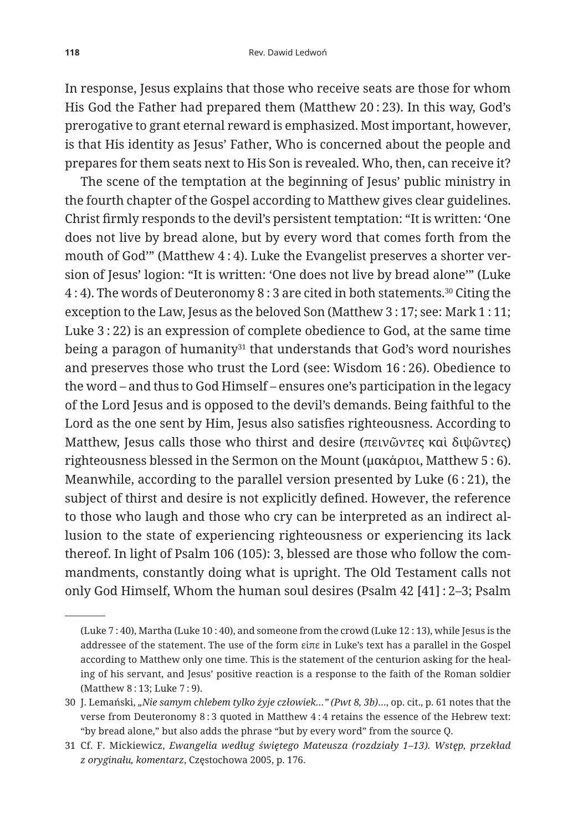In response, Jesus explains that those who receive seats are those for whom His God the Father had prepared them (Matthew 20 : 23). In this way, God's prerogative to grant eternal reward is emphasized. Most important, however, is that His identity as Jesus' Father, Who is concerned about the people and prepares for them seats next to His Son is revealed. Who, then, can receive it?

The scene of the temptation at the beginning of Jesus' public ministry in the fourth chapter of the Gospel according to Matthew gives clear guidelines. Christ firmly responds to the devil's persistent temptation: "It is written: 'One does not live by bread alone, but by every word that comes forth from the mouth of God'" (Matthew 4 : 4). Luke the Evangelist preserves a shorter version of Jesus' logion: "It is written: 'One does not live by bread alone'" (Luke 4 : 4). The words of Deuteronomy 8 : 3 are cited in both statements.30 Citing the exception to the Law, Jesus as the beloved Son (Matthew 3 : 17; see: Mark 1 : 11; Luke 3 : 22) is an expression of complete obedience to God, at the same time being a paragon of humanity $31$  that understands that God's word nourishes and preserves those who trust the Lord (see: Wisdom 16 : 26). Obedience to the word – and thus to God Himself – ensures one's participation in the legacy of the Lord Jesus and is opposed to the devil's demands. Being faithful to the Lord as the one sent by Him, Jesus also satisfies righteousness. According to Matthew, Jesus calls those who thirst and desire (πεινῶντες καὶ διψῶντες) righteousness blessed in the Sermon on the Mount (μακάριοι, Matthew 5 : 6). Meanwhile, according to the parallel version presented by Luke (6 : 21), the subject of thirst and desire is not explicitly defined. However, the reference to those who laugh and those who cry can be interpreted as an indirect allusion to the state of experiencing righteousness or experiencing its lack thereof. In light of Psalm 106 (105): 3, blessed are those who follow the commandments, constantly doing what is upright. The Old Testament calls not only God Himself, Whom the human soul desires (Psalm 42 [41] : 2–3; Psalm

<sup>(</sup>Luke 7 : 40), Martha (Luke 10 : 40), and someone from the crowd (Luke 12 : 13), while Jesus is the addressee of the statement. The use of the form εἰπε in Luke's text has a parallel in the Gospel according to Matthew only one time. This is the statement of the centurion asking for the healing of his servant, and Jesus' positive reaction is a response to the faith of the Roman soldier (Matthew 8 : 13; Luke 7 : 9).

<sup>30</sup> J. Lemański, *"Nie samym chlebem tylko żyje człowiek…" (Pwt 8, 3b)*…, op. cit., p. 61 notes that the verse from Deuteronomy 8 : 3 quoted in Matthew 4 : 4 retains the essence of the Hebrew text: "by bread alone," but also adds the phrase "but by every word" from the source Q.

<sup>31</sup> Cf. F. Mickiewicz, *Ewangelia według świętego Mateusza (rozdziały 1–13). Wstęp, przekład z oryginału, komentarz*, Częstochowa 2005, p. 176.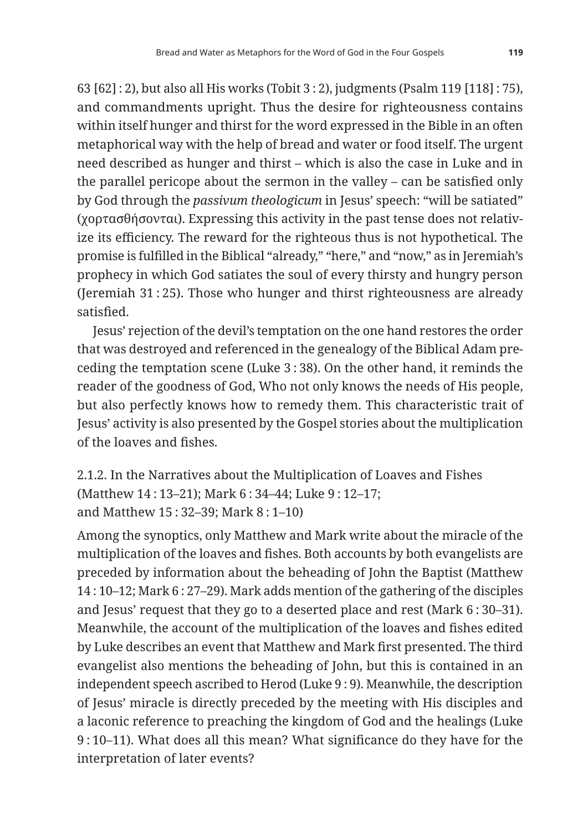63 [62] : 2), but also all His works (Tobit 3 : 2), judgments (Psalm 119 [118] : 75), and commandments upright. Thus the desire for righteousness contains within itself hunger and thirst for the word expressed in the Bible in an often metaphorical way with the help of bread and water or food itself. The urgent need described as hunger and thirst – which is also the case in Luke and in the parallel pericope about the sermon in the valley – can be satisfied only by God through the *passivum theologicum* in Jesus' speech: "will be satiated" (χορτασθήσονται). Expressing this activity in the past tense does not relativize its efficiency. The reward for the righteous thus is not hypothetical. The promise is fulfilled in the Biblical "already," "here," and "now," as in Jeremiah's prophecy in which God satiates the soul of every thirsty and hungry person (Jeremiah 31 : 25). Those who hunger and thirst righteousness are already satisfied.

Jesus' rejection of the devil's temptation on the one hand restores the order that was destroyed and referenced in the genealogy of the Biblical Adam preceding the temptation scene (Luke 3 : 38). On the other hand, it reminds the reader of the goodness of God, Who not only knows the needs of His people, but also perfectly knows how to remedy them. This characteristic trait of Jesus' activity is also presented by the Gospel stories about the multiplication of the loaves and fishes.

2.1.2. In the Narratives about the Multiplication of Loaves and Fishes (Matthew 14 : 13–21); Mark 6 : 34–44; Luke 9 : 12–17; and Matthew 15 : 32–39; Mark 8 : 1–10)

Among the synoptics, only Matthew and Mark write about the miracle of the multiplication of the loaves and fishes. Both accounts by both evangelists are preceded by information about the beheading of John the Baptist (Matthew 14 : 10–12; Mark 6 : 27–29). Mark adds mention of the gathering of the disciples and Jesus' request that they go to a deserted place and rest (Mark 6 : 30–31). Meanwhile, the account of the multiplication of the loaves and fishes edited by Luke describes an event that Matthew and Mark first presented. The third evangelist also mentions the beheading of John, but this is contained in an independent speech ascribed to Herod (Luke 9 : 9). Meanwhile, the description of Jesus' miracle is directly preceded by the meeting with His disciples and a laconic reference to preaching the kingdom of God and the healings (Luke 9 : 10–11). What does all this mean? What significance do they have for the interpretation of later events?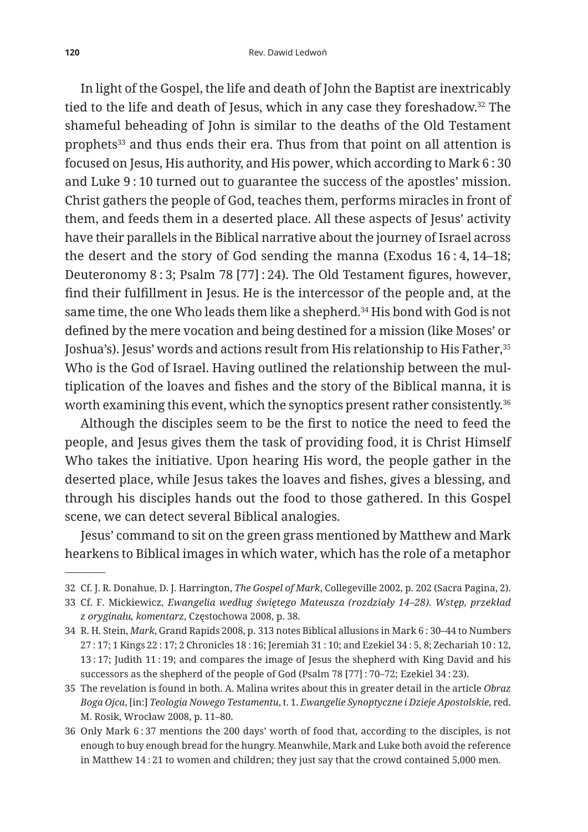In light of the Gospel, the life and death of John the Baptist are inextricably tied to the life and death of Jesus, which in any case they foreshadow.32 The shameful beheading of John is similar to the deaths of the Old Testament prophets<sup>33</sup> and thus ends their era. Thus from that point on all attention is focused on Jesus, His authority, and His power, which according to Mark 6 : 30 and Luke 9 : 10 turned out to guarantee the success of the apostles' mission. Christ gathers the people of God, teaches them, performs miracles in front of them, and feeds them in a deserted place. All these aspects of Jesus' activity have their parallels in the Biblical narrative about the journey of Israel across the desert and the story of God sending the manna (Exodus 16 : 4, 14–18; Deuteronomy 8 : 3; Psalm 78 [77] : 24). The Old Testament figures, however, find their fulfillment in Jesus. He is the intercessor of the people and, at the same time, the one Who leads them like a shepherd.<sup>34</sup> His bond with God is not defined by the mere vocation and being destined for a mission (like Moses' or Joshua's). Jesus' words and actions result from His relationship to His Father, 35 Who is the God of Israel. Having outlined the relationship between the multiplication of the loaves and fishes and the story of the Biblical manna, it is worth examining this event, which the synoptics present rather consistently.36

Although the disciples seem to be the first to notice the need to feed the people, and Jesus gives them the task of providing food, it is Christ Himself Who takes the initiative. Upon hearing His word, the people gather in the deserted place, while Jesus takes the loaves and fishes, gives a blessing, and through his disciples hands out the food to those gathered. In this Gospel scene, we can detect several Biblical analogies.

Jesus' command to sit on the green grass mentioned by Matthew and Mark hearkens to Biblical images in which water, which has the role of a metaphor

<sup>32</sup> Cf. J. R. Donahue, D. J. Harrington, *The Gospel of Mark*, Collegeville 2002, p. 202 (Sacra Pagina, 2).

<sup>33</sup> Cf. F. Mickiewicz, *Ewangelia według świętego Mateusza (rozdziały 14–28). Wstęp, przekład z oryginału, komentarz*, Częstochowa 2008, p. 38.

<sup>34</sup> R. H. Stein, *Mark*, Grand Rapids 2008, p. 313 notes Biblical allusions in Mark 6 : 30–44 to Numbers 27 : 17; 1 Kings 22 : 17; 2 Chronicles 18 : 16; Jeremiah 31 : 10; and Ezekiel 34 : 5, 8; Zechariah 10 : 12, 13 : 17; Judith 11 : 19; and compares the image of Jesus the shepherd with King David and his successors as the shepherd of the people of God (Psalm 78 [77] : 70–72; Ezekiel 34 : 23).

<sup>35</sup> The revelation is found in both. A. Malina writes about this in greater detail in the article *Obraz Boga Ojca*, [in:] *Teologia Nowego Testamentu*, t. 1. *Ewangelie Synoptyczne i Dzieje Apostolskie*, red. M. Rosik, Wrocław 2008, p. 11–80.

<sup>36</sup> Only Mark 6 : 37 mentions the 200 days' worth of food that, according to the disciples, is not enough to buy enough bread for the hungry. Meanwhile, Mark and Luke both avoid the reference in Matthew 14 : 21 to women and children; they just say that the crowd contained 5,000 men.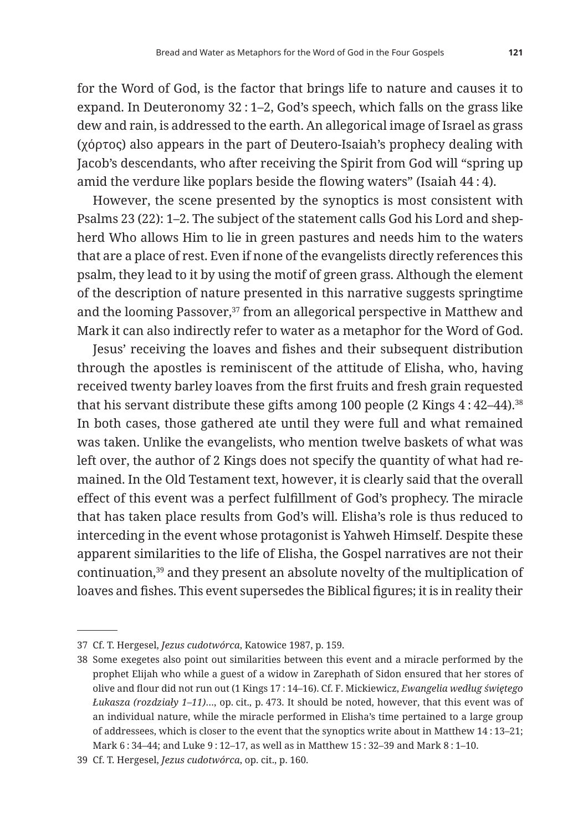for the Word of God, is the factor that brings life to nature and causes it to expand. In Deuteronomy 32 : 1–2, God's speech, which falls on the grass like dew and rain, is addressed to the earth. An allegorical image of Israel as grass (χόρτος) also appears in the part of Deutero-Isaiah's prophecy dealing with Jacob's descendants, who after receiving the Spirit from God will "spring up amid the verdure like poplars beside the flowing waters" (Isaiah 44 : 4).

However, the scene presented by the synoptics is most consistent with Psalms 23 (22): 1–2. The subject of the statement calls God his Lord and shepherd Who allows Him to lie in green pastures and needs him to the waters that are a place of rest. Even if none of the evangelists directly references this psalm, they lead to it by using the motif of green grass. Although the element of the description of nature presented in this narrative suggests springtime and the looming Passover,<sup>37</sup> from an allegorical perspective in Matthew and Mark it can also indirectly refer to water as a metaphor for the Word of God.

Jesus' receiving the loaves and fishes and their subsequent distribution through the apostles is reminiscent of the attitude of Elisha, who, having received twenty barley loaves from the first fruits and fresh grain requested that his servant distribute these gifts among 100 people  $(2 \text{ Kings } 4:42-44).$ <sup>38</sup> In both cases, those gathered ate until they were full and what remained was taken. Unlike the evangelists, who mention twelve baskets of what was left over, the author of 2 Kings does not specify the quantity of what had remained. In the Old Testament text, however, it is clearly said that the overall effect of this event was a perfect fulfillment of God's prophecy. The miracle that has taken place results from God's will. Elisha's role is thus reduced to interceding in the event whose protagonist is Yahweh Himself. Despite these apparent similarities to the life of Elisha, the Gospel narratives are not their continuation,39 and they present an absolute novelty of the multiplication of loaves and fishes. This event supersedes the Biblical figures; it is in reality their

<sup>37</sup> Cf. T. Hergesel, *Jezus cudotwórca*, Katowice 1987, p. 159.

<sup>38</sup> Some exegetes also point out similarities between this event and a miracle performed by the prophet Elijah who while a guest of a widow in Zarephath of Sidon ensured that her stores of olive and flour did not run out (1 Kings 17 : 14–16). Cf. F. Mickiewicz, *Ewangelia według świętego Łukasza (rozdziały 1–11)*…, op. cit., p. 473. It should be noted, however, that this event was of an individual nature, while the miracle performed in Elisha's time pertained to a large group of addressees, which is closer to the event that the synoptics write about in Matthew 14 : 13–21; Mark 6 : 34–44; and Luke 9 : 12–17, as well as in Matthew 15 : 32–39 and Mark 8 : 1–10.

<sup>39</sup> Cf. T. Hergesel, *Jezus cudotwórca*, op. cit., p. 160.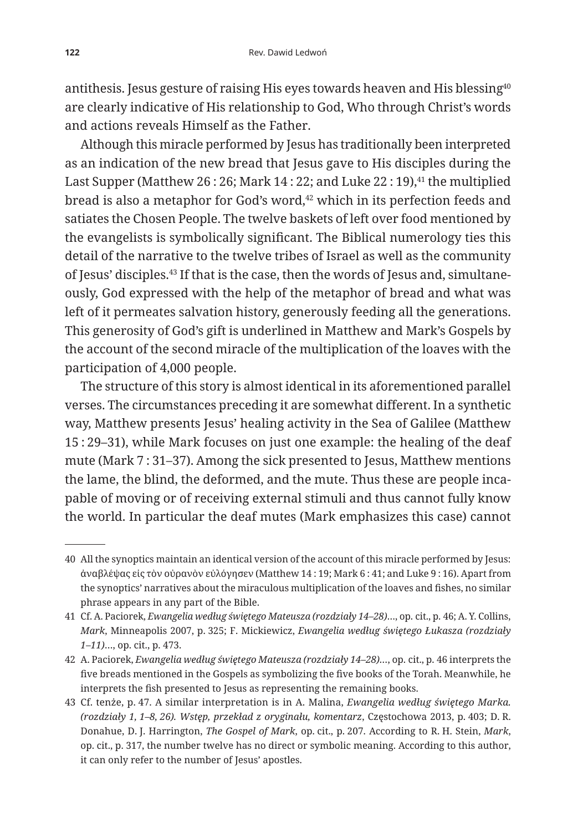antithesis. Jesus gesture of raising His eyes towards heaven and His blessing<sup>40</sup> are clearly indicative of His relationship to God, Who through Christ's words and actions reveals Himself as the Father.

Although this miracle performed by Jesus has traditionally been interpreted as an indication of the new bread that Jesus gave to His disciples during the Last Supper (Matthew 26 : 26; Mark 14 : 22; and Luke  $22$  : 19), $41$  the multiplied bread is also a metaphor for God's word,<sup>42</sup> which in its perfection feeds and satiates the Chosen People. The twelve baskets of left over food mentioned by the evangelists is symbolically significant. The Biblical numerology ties this detail of the narrative to the twelve tribes of Israel as well as the community of Jesus' disciples.43 If that is the case, then the words of Jesus and, simultaneously, God expressed with the help of the metaphor of bread and what was left of it permeates salvation history, generously feeding all the generations. This generosity of God's gift is underlined in Matthew and Mark's Gospels by the account of the second miracle of the multiplication of the loaves with the participation of 4,000 people.

The structure of this story is almost identical in its aforementioned parallel verses. The circumstances preceding it are somewhat different. In a synthetic way, Matthew presents Jesus' healing activity in the Sea of Galilee (Matthew 15 : 29–31), while Mark focuses on just one example: the healing of the deaf mute (Mark 7 : 31–37). Among the sick presented to Jesus, Matthew mentions the lame, the blind, the deformed, and the mute. Thus these are people incapable of moving or of receiving external stimuli and thus cannot fully know the world. In particular the deaf mutes (Mark emphasizes this case) cannot

<sup>40</sup> All the synoptics maintain an identical version of the account of this miracle performed by Jesus: ἀναβλέψας εἰς τὸν οὐρανὸν εὐλόγησεν (Matthew 14 : 19; Mark 6 : 41; and Luke 9 : 16). Apart from the synoptics' narratives about the miraculous multiplication of the loaves and fishes, no similar phrase appears in any part of the Bible.

<sup>41</sup> Cf. A. Paciorek, *Ewangelia według świętego Mateusza (rozdziały 14–28)*…, op. cit., p. 46; A. Y. Collins, *Mark*, Minneapolis 2007, p. 325; F. Mickiewicz, *Ewangelia według świętego Łukasza (rozdziały 1–11)*…, op. cit., p. 473.

<sup>42</sup> A. Paciorek, *Ewangelia według świętego Mateusza (rozdziały 14–28)…*, op. cit., p. 46 interprets the five breads mentioned in the Gospels as symbolizing the five books of the Torah. Meanwhile, he interprets the fish presented to Jesus as representing the remaining books.

<sup>43</sup> Cf. tenże, p. 47. A similar interpretation is in A. Malina, *Ewangelia według świętego Marka. (rozdziały 1, 1–8, 26). Wstęp, przekład z oryginału, komentarz*, Częstochowa 2013, p. 403; D. R. Donahue, D. J. Harrington, *The Gospel of Mark*, op. cit., p. 207. According to R. H. Stein, *Mark*, op. cit., p. 317, the number twelve has no direct or symbolic meaning. According to this author, it can only refer to the number of Jesus' apostles.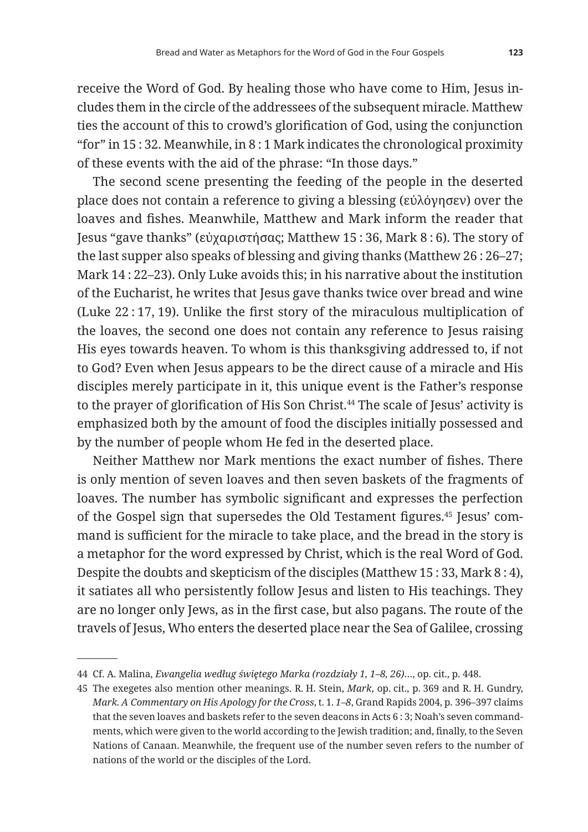receive the Word of God. By healing those who have come to Him, Jesus includes them in the circle of the addressees of the subsequent miracle. Matthew ties the account of this to crowd's glorification of God, using the conjunction "for" in 15 : 32. Meanwhile, in 8 : 1 Mark indicates the chronological proximity of these events with the aid of the phrase: "In those days."

The second scene presenting the feeding of the people in the deserted place does not contain a reference to giving a blessing (εὐλόγησεν) over the loaves and fishes. Meanwhile, Matthew and Mark inform the reader that Jesus "gave thanks" (εὐχαριστήσας; Matthew 15 : 36, Mark 8 : 6). The story of the last supper also speaks of blessing and giving thanks (Matthew 26 : 26–27; Mark 14 : 22–23). Only Luke avoids this; in his narrative about the institution of the Eucharist, he writes that Jesus gave thanks twice over bread and wine (Luke 22 : 17, 19). Unlike the first story of the miraculous multiplication of the loaves, the second one does not contain any reference to Jesus raising His eyes towards heaven. To whom is this thanksgiving addressed to, if not to God? Even when Jesus appears to be the direct cause of a miracle and His disciples merely participate in it, this unique event is the Father's response to the prayer of glorification of His Son Christ.<sup>44</sup> The scale of Jesus' activity is emphasized both by the amount of food the disciples initially possessed and by the number of people whom He fed in the deserted place.

Neither Matthew nor Mark mentions the exact number of fishes. There is only mention of seven loaves and then seven baskets of the fragments of loaves. The number has symbolic significant and expresses the perfection of the Gospel sign that supersedes the Old Testament figures.45 Jesus' command is sufficient for the miracle to take place, and the bread in the story is a metaphor for the word expressed by Christ, which is the real Word of God. Despite the doubts and skepticism of the disciples (Matthew 15 : 33, Mark 8 : 4), it satiates all who persistently follow Jesus and listen to His teachings. They are no longer only Jews, as in the first case, but also pagans. The route of the travels of Jesus, Who enters the deserted place near the Sea of Galilee, crossing

<sup>44</sup> Cf. A. Malina, *Ewangelia według świętego Marka (rozdziały 1, 1–8, 26)*…, op. cit., p. 448.

<sup>45</sup> The exegetes also mention other meanings. R. H. Stein, *Mark*, op. cit., p. 369 and R. H. Gundry, *Mark. A Commentary on His Apology for the Cross*, t. 1. *1–8*, Grand Rapids 2004, p. 396–397 claims that the seven loaves and baskets refer to the seven deacons in Acts 6 : 3; Noah's seven commandments, which were given to the world according to the Jewish tradition; and, finally, to the Seven Nations of Canaan. Meanwhile, the frequent use of the number seven refers to the number of nations of the world or the disciples of the Lord.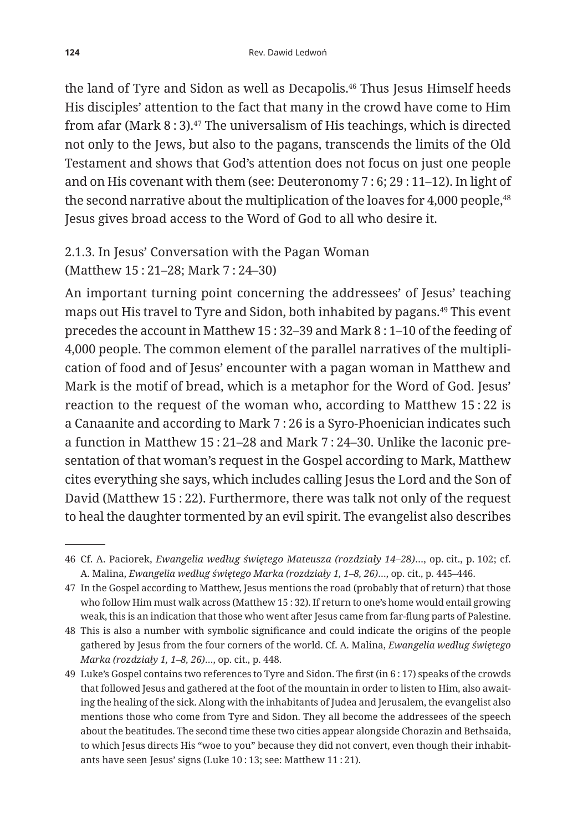the land of Tyre and Sidon as well as Decapolis.<sup>46</sup> Thus Jesus Himself heeds His disciples' attention to the fact that many in the crowd have come to Him from afar (Mark  $8:3$ ).<sup>47</sup> The universalism of His teachings, which is directed not only to the Jews, but also to the pagans, transcends the limits of the Old Testament and shows that God's attention does not focus on just one people and on His covenant with them (see: Deuteronomy 7 : 6; 29 : 11–12). In light of the second narrative about the multiplication of the loaves for 4,000 people,<sup>48</sup> Jesus gives broad access to the Word of God to all who desire it.

## 2.1.3. In Jesus' Conversation with the Pagan Woman (Matthew 15 : 21–28; Mark 7 : 24–30)

An important turning point concerning the addressees' of Jesus' teaching maps out His travel to Tyre and Sidon, both inhabited by pagans.49 This event precedes the account in Matthew 15 : 32–39 and Mark 8 : 1–10 of the feeding of 4,000 people. The common element of the parallel narratives of the multiplication of food and of Jesus' encounter with a pagan woman in Matthew and Mark is the motif of bread, which is a metaphor for the Word of God. Jesus' reaction to the request of the woman who, according to Matthew 15 : 22 is a Canaanite and according to Mark 7 : 26 is a Syro-Phoenician indicates such a function in Matthew 15 : 21–28 and Mark 7 : 24–30. Unlike the laconic presentation of that woman's request in the Gospel according to Mark, Matthew cites everything she says, which includes calling Jesus the Lord and the Son of David (Matthew 15 : 22). Furthermore, there was talk not only of the request to heal the daughter tormented by an evil spirit. The evangelist also describes

<sup>46</sup> Cf. A. Paciorek, *Ewangelia według świętego Mateusza (rozdziały 14–28)*…, op. cit., p. 102; cf. A. Malina, *Ewangelia według świętego Marka (rozdziały 1, 1–8, 26)*…, op. cit., p. 445–446.

<sup>47</sup> In the Gospel according to Matthew, Jesus mentions the road (probably that of return) that those who follow Him must walk across (Matthew 15 : 32). If return to one's home would entail growing weak, this is an indication that those who went after Jesus came from far-flung parts of Palestine.

<sup>48</sup> This is also a number with symbolic significance and could indicate the origins of the people gathered by Jesus from the four corners of the world. Cf. A. Malina, *Ewangelia według świętego Marka (rozdziały 1, 1–8, 26)*…, op. cit., p. 448.

<sup>49</sup> Luke's Gospel contains two references to Tyre and Sidon. The first (in 6 : 17) speaks of the crowds that followed Jesus and gathered at the foot of the mountain in order to listen to Him, also awaiting the healing of the sick. Along with the inhabitants of Judea and Jerusalem, the evangelist also mentions those who come from Tyre and Sidon. They all become the addressees of the speech about the beatitudes. The second time these two cities appear alongside Chorazin and Bethsaida, to which Jesus directs His "woe to you" because they did not convert, even though their inhabitants have seen Jesus' signs (Luke 10 : 13; see: Matthew 11 : 21).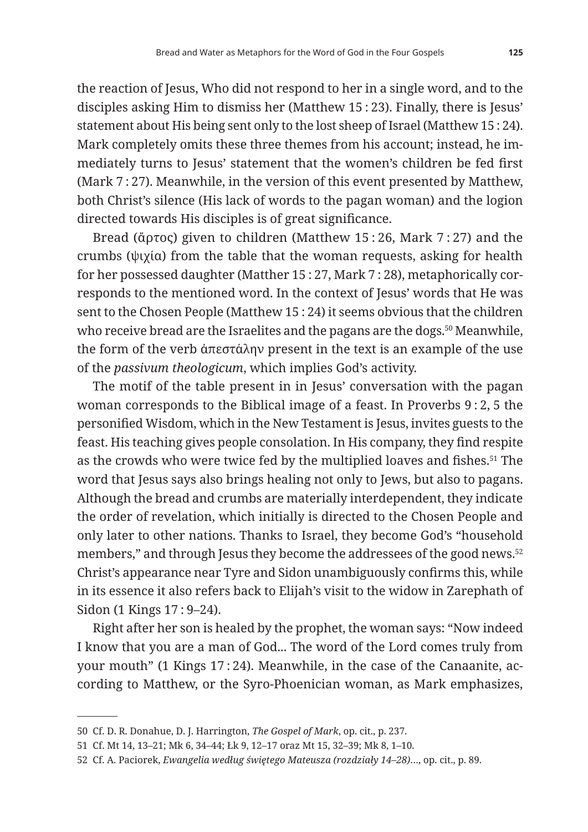the reaction of Jesus, Who did not respond to her in a single word, and to the disciples asking Him to dismiss her (Matthew 15 : 23). Finally, there is Jesus' statement about His being sent only to the lost sheep of Israel (Matthew 15 : 24). Mark completely omits these three themes from his account; instead, he immediately turns to Jesus' statement that the women's children be fed first (Mark 7 : 27). Meanwhile, in the version of this event presented by Matthew, both Christ's silence (His lack of words to the pagan woman) and the logion directed towards His disciples is of great significance.

Bread (ἄρτος) given to children (Matthew 15 : 26, Mark 7 : 27) and the crumbs (ψιχία) from the table that the woman requests, asking for health for her possessed daughter (Matther 15 : 27, Mark 7 : 28), metaphorically corresponds to the mentioned word. In the context of Jesus' words that He was sent to the Chosen People (Matthew 15 : 24) it seems obvious that the children who receive bread are the Israelites and the pagans are the dogs.<sup>50</sup> Meanwhile, the form of the verb ἀπεστάλην present in the text is an example of the use of the *passivum theologicum*, which implies God's activity.

The motif of the table present in in Jesus' conversation with the pagan woman corresponds to the Biblical image of a feast. In Proverbs 9 : 2, 5 the personified Wisdom, which in the New Testament is Jesus, invites guests to the feast. His teaching gives people consolation. In His company, they find respite as the crowds who were twice fed by the multiplied loaves and fishes.<sup>51</sup> The word that Jesus says also brings healing not only to Jews, but also to pagans. Although the bread and crumbs are materially interdependent, they indicate the order of revelation, which initially is directed to the Chosen People and only later to other nations. Thanks to Israel, they become God's "household members," and through Jesus they become the addressees of the good news.52 Christ's appearance near Tyre and Sidon unambiguously confirms this, while in its essence it also refers back to Elijah's visit to the widow in Zarephath of Sidon (1 Kings 17 : 9–24).

Right after her son is healed by the prophet, the woman says: "Now indeed I know that you are a man of God... The word of the Lord comes truly from your mouth" (1 Kings 17:24). Meanwhile, in the case of the Canaanite, according to Matthew, or the Syro-Phoenician woman, as Mark emphasizes,

<sup>50</sup> Cf. D. R. Donahue, D. J. Harrington, *The Gospel of Mark*, op. cit., p. 237.

<sup>51</sup> Cf. Mt 14, 13–21; Mk 6, 34–44; Łk 9, 12–17 oraz Mt 15, 32–39; Mk 8, 1–10.

<sup>52</sup> Cf. A. Paciorek, *Ewangelia według świętego Mateusza (rozdziały 14–28)*…, op. cit., p. 89.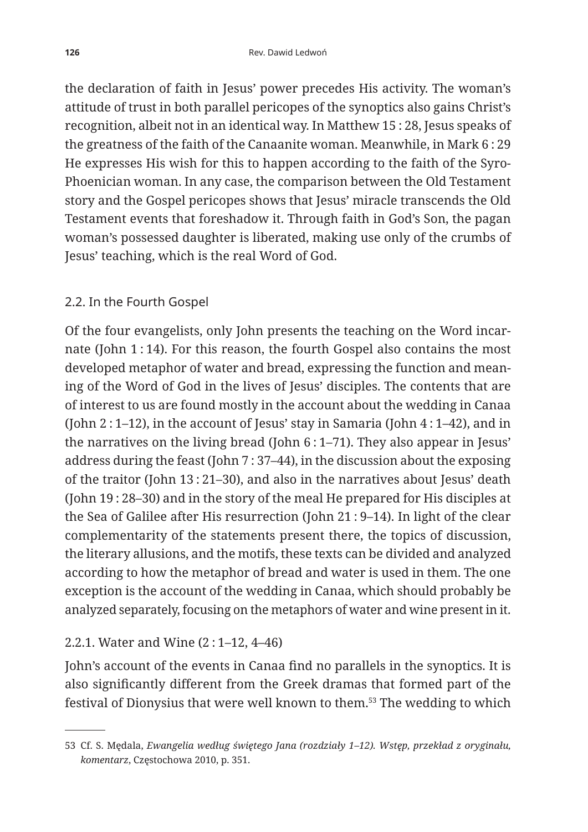the declaration of faith in Jesus' power precedes His activity. The woman's attitude of trust in both parallel pericopes of the synoptics also gains Christ's recognition, albeit not in an identical way. In Matthew 15 : 28, Jesus speaks of the greatness of the faith of the Canaanite woman. Meanwhile, in Mark 6 : 29 He expresses His wish for this to happen according to the faith of the Syro-Phoenician woman. In any case, the comparison between the Old Testament story and the Gospel pericopes shows that Jesus' miracle transcends the Old Testament events that foreshadow it. Through faith in God's Son, the pagan woman's possessed daughter is liberated, making use only of the crumbs of Jesus' teaching, which is the real Word of God.

## 2.2. In the Fourth Gospel

Of the four evangelists, only John presents the teaching on the Word incarnate (John 1 : 14). For this reason, the fourth Gospel also contains the most developed metaphor of water and bread, expressing the function and meaning of the Word of God in the lives of Jesus' disciples. The contents that are of interest to us are found mostly in the account about the wedding in Canaa (John  $2:1-12$ ), in the account of Jesus' stay in Samaria (John  $4:1-42$ ), and in the narratives on the living bread (John 6 : 1–71). They also appear in Jesus' address during the feast (John 7 : 37–44), in the discussion about the exposing of the traitor (John 13 : 21–30), and also in the narratives about Jesus' death (John 19 : 28–30) and in the story of the meal He prepared for His disciples at the Sea of Galilee after His resurrection (John 21 : 9–14). In light of the clear complementarity of the statements present there, the topics of discussion, the literary allusions, and the motifs, these texts can be divided and analyzed according to how the metaphor of bread and water is used in them. The one exception is the account of the wedding in Canaa, which should probably be analyzed separately, focusing on the metaphors of water and wine present in it.

## 2.2.1. Water and Wine (2 : 1–12, 4–46)

John's account of the events in Canaa find no parallels in the synoptics. It is also significantly different from the Greek dramas that formed part of the festival of Dionysius that were well known to them.53 The wedding to which

<sup>53</sup> Cf. S. Mędala, *Ewangelia według świętego Jana (rozdziały 1–12). Wstęp, przekład z oryginału, komentarz*, Częstochowa 2010, p. 351.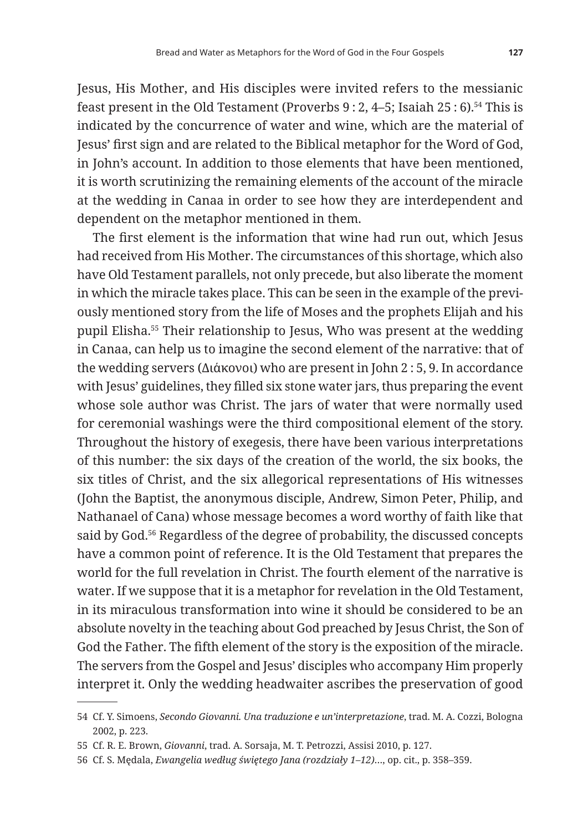Jesus, His Mother, and His disciples were invited refers to the messianic feast present in the Old Testament (Proverbs 9 : 2, 4–5; Isaiah 25 : 6).54 This is indicated by the concurrence of water and wine, which are the material of Jesus' first sign and are related to the Biblical metaphor for the Word of God, in John's account. In addition to those elements that have been mentioned, it is worth scrutinizing the remaining elements of the account of the miracle at the wedding in Canaa in order to see how they are interdependent and dependent on the metaphor mentioned in them.

The first element is the information that wine had run out, which Jesus had received from His Mother. The circumstances of this shortage, which also have Old Testament parallels, not only precede, but also liberate the moment in which the miracle takes place. This can be seen in the example of the previously mentioned story from the life of Moses and the prophets Elijah and his pupil Elisha.55 Their relationship to Jesus, Who was present at the wedding in Canaa, can help us to imagine the second element of the narrative: that of the wedding servers (Διάκονοι) who are present in John 2 : 5, 9. In accordance with Jesus' guidelines, they filled six stone water jars, thus preparing the event whose sole author was Christ. The jars of water that were normally used for ceremonial washings were the third compositional element of the story. Throughout the history of exegesis, there have been various interpretations of this number: the six days of the creation of the world, the six books, the six titles of Christ, and the six allegorical representations of His witnesses (John the Baptist, the anonymous disciple, Andrew, Simon Peter, Philip, and Nathanael of Cana) whose message becomes a word worthy of faith like that said by God.<sup>56</sup> Regardless of the degree of probability, the discussed concepts have a common point of reference. It is the Old Testament that prepares the world for the full revelation in Christ. The fourth element of the narrative is water. If we suppose that it is a metaphor for revelation in the Old Testament, in its miraculous transformation into wine it should be considered to be an absolute novelty in the teaching about God preached by Jesus Christ, the Son of God the Father. The fifth element of the story is the exposition of the miracle. The servers from the Gospel and Jesus' disciples who accompany Him properly interpret it. Only the wedding headwaiter ascribes the preservation of good

<sup>54</sup> Cf. Y. Simoens, *Secondo Giovanni. Una traduzione e un'interpretazione*, trad. M. A. Cozzi, Bologna 2002, p. 223.

<sup>55</sup> Cf. R. E. Brown, *Giovanni*, trad. A. Sorsaja, M. T. Petrozzi, Assisi 2010, p. 127.

<sup>56</sup> Cf. S. Mędala, *Ewangelia według świętego Jana (rozdziały 1–12)*…, op. cit., p. 358–359.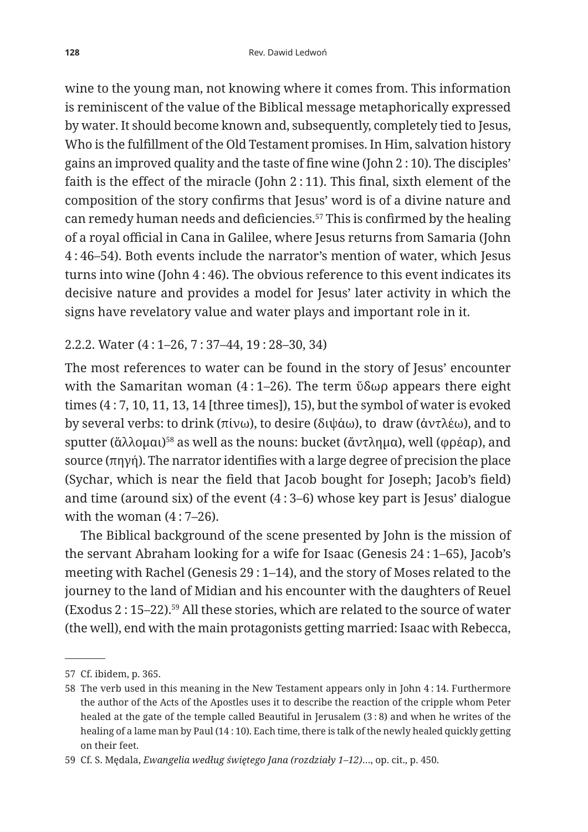wine to the young man, not knowing where it comes from. This information is reminiscent of the value of the Biblical message metaphorically expressed by water. It should become known and, subsequently, completely tied to Jesus, Who is the fulfillment of the Old Testament promises. In Him, salvation history gains an improved quality and the taste of fine wine (John 2 : 10). The disciples' faith is the effect of the miracle (John 2 : 11). This final, sixth element of the composition of the story confirms that Jesus' word is of a divine nature and can remedy human needs and deficiencies.57 This is confirmed by the healing of a royal official in Cana in Galilee, where Jesus returns from Samaria (John 4 : 46–54). Both events include the narrator's mention of water, which Jesus turns into wine (John 4 : 46). The obvious reference to this event indicates its decisive nature and provides a model for Jesus' later activity in which the signs have revelatory value and water plays and important role in it.

#### 2.2.2. Water (4 : 1–26, 7 : 37–44, 19 : 28–30, 34)

The most references to water can be found in the story of Jesus' encounter with the Samaritan woman (4 : 1–26). The term ὕδωρ appears there eight times (4 : 7, 10, 11, 13, 14 [three times]), 15), but the symbol of water is evoked by several verbs: to drink (πίνω), to desire (διψάω), to draw (ἀντλέω), and to sputter (ἄλλομαι)<sup>58</sup> as well as the nouns: bucket (ἄντλημα), well (φρέαρ), and source (πηγή). The narrator identifies with a large degree of precision the place (Sychar, which is near the field that Jacob bought for Joseph; Jacob's field) and time (around six) of the event  $(4:3-6)$  whose key part is Jesus' dialogue with the woman (4 : 7–26).

The Biblical background of the scene presented by John is the mission of the servant Abraham looking for a wife for Isaac (Genesis 24 : 1–65), Jacob's meeting with Rachel (Genesis 29 : 1–14), and the story of Moses related to the journey to the land of Midian and his encounter with the daughters of Reuel (Exodus 2 : 15–22).59 All these stories, which are related to the source of water (the well), end with the main protagonists getting married: Isaac with Rebecca,

<sup>57</sup> Cf. ibidem, p. 365.

<sup>58</sup> The verb used in this meaning in the New Testament appears only in John 4 : 14. Furthermore the author of the Acts of the Apostles uses it to describe the reaction of the cripple whom Peter healed at the gate of the temple called Beautiful in Jerusalem (3 : 8) and when he writes of the healing of a lame man by Paul (14 : 10). Each time, there is talk of the newly healed quickly getting on their feet.

<sup>59</sup> Cf. S. Mędala, *Ewangelia według świętego Jana (rozdziały 1–12)*…, op. cit., p. 450.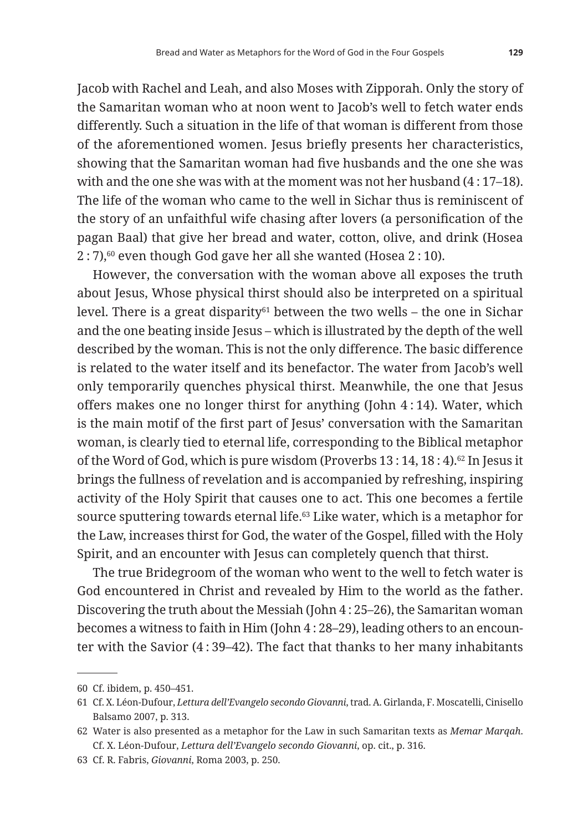Jacob with Rachel and Leah, and also Moses with Zipporah. Only the story of the Samaritan woman who at noon went to Jacob's well to fetch water ends differently. Such a situation in the life of that woman is different from those of the aforementioned women. Jesus briefly presents her characteristics, showing that the Samaritan woman had five husbands and the one she was with and the one she was with at the moment was not her husband (4 : 17–18). The life of the woman who came to the well in Sichar thus is reminiscent of the story of an unfaithful wife chasing after lovers (a personification of the pagan Baal) that give her bread and water, cotton, olive, and drink (Hosea 2 : 7),60 even though God gave her all she wanted (Hosea 2 : 10).

However, the conversation with the woman above all exposes the truth about Jesus, Whose physical thirst should also be interpreted on a spiritual level. There is a great disparity $61$  between the two wells – the one in Sichar and the one beating inside Jesus – which is illustrated by the depth of the well described by the woman. This is not the only difference. The basic difference is related to the water itself and its benefactor. The water from Jacob's well only temporarily quenches physical thirst. Meanwhile, the one that Jesus offers makes one no longer thirst for anything (John 4 : 14). Water, which is the main motif of the first part of Jesus' conversation with the Samaritan woman, is clearly tied to eternal life, corresponding to the Biblical metaphor of the Word of God, which is pure wisdom (Proverbs 13 : 14, 18 : 4).62 In Jesus it brings the fullness of revelation and is accompanied by refreshing, inspiring activity of the Holy Spirit that causes one to act. This one becomes a fertile source sputtering towards eternal life.<sup>63</sup> Like water, which is a metaphor for the Law, increases thirst for God, the water of the Gospel, filled with the Holy Spirit, and an encounter with Jesus can completely quench that thirst.

The true Bridegroom of the woman who went to the well to fetch water is God encountered in Christ and revealed by Him to the world as the father. Discovering the truth about the Messiah (John 4 : 25–26), the Samaritan woman becomes a witness to faith in Him (John 4 : 28–29), leading others to an encounter with the Savior (4 : 39–42). The fact that thanks to her many inhabitants

<sup>60</sup> Cf. ibidem, p. 450–451.

<sup>61</sup> Cf. X. Léon-Dufour, *Lettura dell'Evangelo secondo Giovanni*, trad. A. Girlanda, F. Moscatelli, Cinisello Balsamo 2007, p. 313.

<sup>62</sup> Water is also presented as a metaphor for the Law in such Samaritan texts as *Memar Marqah*. Cf. X. Léon-Dufour, *Lettura dell'Evangelo secondo Giovanni*, op. cit., p. 316.

<sup>63</sup> Cf. R. Fabris, *Giovanni*, Roma 2003, p. 250.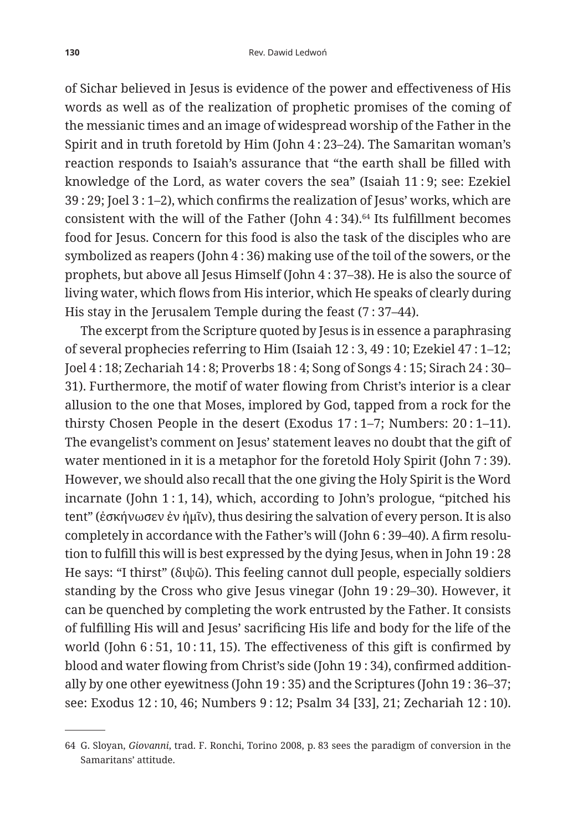of Sichar believed in Jesus is evidence of the power and effectiveness of His words as well as of the realization of prophetic promises of the coming of the messianic times and an image of widespread worship of the Father in the Spirit and in truth foretold by Him (John 4 : 23–24). The Samaritan woman's reaction responds to Isaiah's assurance that "the earth shall be filled with knowledge of the Lord, as water covers the sea" (Isaiah 11 : 9; see: Ezekiel 39 : 29; Joel 3 : 1–2), which confirms the realization of Jesus' works, which are consistent with the will of the Father (John  $4:34$ ).<sup>64</sup> Its fulfillment becomes food for Jesus. Concern for this food is also the task of the disciples who are symbolized as reapers (John 4 : 36) making use of the toil of the sowers, or the prophets, but above all Jesus Himself (John 4 : 37–38). He is also the source of living water, which flows from His interior, which He speaks of clearly during His stay in the Jerusalem Temple during the feast (7 : 37–44).

The excerpt from the Scripture quoted by Jesus is in essence a paraphrasing of several prophecies referring to Him (Isaiah 12 : 3, 49 : 10; Ezekiel 47 : 1–12; Joel 4 : 18; Zechariah 14 : 8; Proverbs 18 : 4; Song of Songs 4 : 15; Sirach 24 : 30– 31). Furthermore, the motif of water flowing from Christ's interior is a clear allusion to the one that Moses, implored by God, tapped from a rock for the thirsty Chosen People in the desert (Exodus 17 : 1–7; Numbers: 20 : 1–11). The evangelist's comment on Jesus' statement leaves no doubt that the gift of water mentioned in it is a metaphor for the foretold Holy Spirit (John 7 : 39). However, we should also recall that the one giving the Holy Spirit is the Word incarnate (John 1 : 1, 14), which, according to John's prologue, "pitched his tent" (ἐσκήνωσεν ἐν ἡμῖν), thus desiring the salvation of every person. It is also completely in accordance with the Father's will (John 6 : 39–40). A firm resolution to fulfill this will is best expressed by the dying Jesus, when in John 19 : 28 He says: "I thirst" (διψῶ). This feeling cannot dull people, especially soldiers standing by the Cross who give Jesus vinegar (John 19 : 29–30). However, it can be quenched by completing the work entrusted by the Father. It consists of fulfilling His will and Jesus' sacrificing His life and body for the life of the world (John  $6:51$ ,  $10:11$ ,  $15$ ). The effectiveness of this gift is confirmed by blood and water flowing from Christ's side (John 19 : 34), confirmed additionally by one other eyewitness (John 19 : 35) and the Scriptures (John 19 : 36–37; see: Exodus 12 : 10, 46; Numbers 9 : 12; Psalm 34 [33], 21; Zechariah 12 : 10).

<sup>64</sup> G. Sloyan, *Giovanni*, trad. F. Ronchi, Torino 2008, p. 83 sees the paradigm of conversion in the Samaritans' attitude.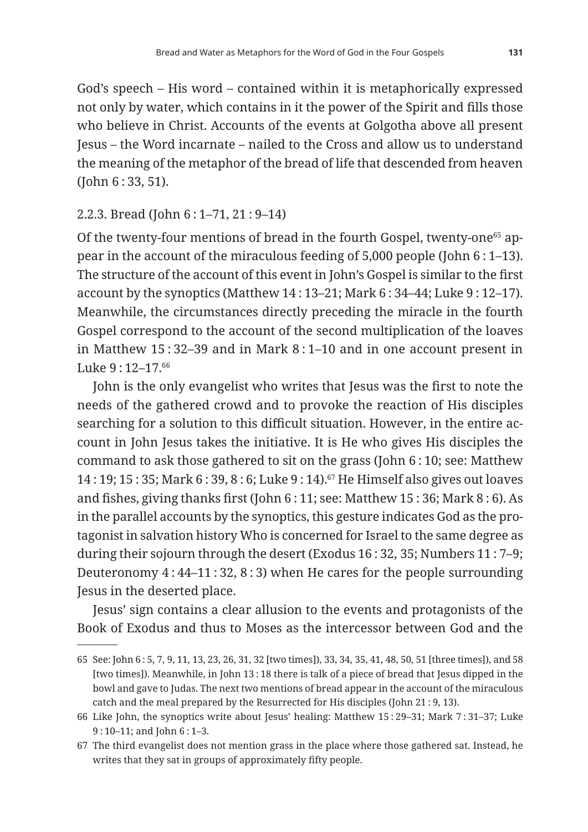God's speech – His word – contained within it is metaphorically expressed not only by water, which contains in it the power of the Spirit and fills those who believe in Christ. Accounts of the events at Golgotha above all present Jesus – the Word incarnate – nailed to the Cross and allow us to understand the meaning of the metaphor of the bread of life that descended from heaven (John 6 : 33, 51).

#### 2.2.3. Bread (John 6 : 1–71, 21 : 9–14)

Of the twenty-four mentions of bread in the fourth Gospel, twenty-one<sup>65</sup> appear in the account of the miraculous feeding of 5,000 people (John 6 : 1–13). The structure of the account of this event in John's Gospel is similar to the first account by the synoptics (Matthew 14 : 13–21; Mark 6 : 34–44; Luke 9 : 12–17). Meanwhile, the circumstances directly preceding the miracle in the fourth Gospel correspond to the account of the second multiplication of the loaves in Matthew 15 : 32–39 and in Mark 8 : 1–10 and in one account present in Luke 9 · 12-17 66

John is the only evangelist who writes that Jesus was the first to note the needs of the gathered crowd and to provoke the reaction of His disciples searching for a solution to this difficult situation. However, in the entire account in John Jesus takes the initiative. It is He who gives His disciples the command to ask those gathered to sit on the grass (John 6 : 10; see: Matthew 14 : 19; 15 : 35; Mark 6 : 39, 8 : 6; Luke 9 : 14).67 He Himself also gives out loaves and fishes, giving thanks first (John 6 : 11; see: Matthew 15 : 36; Mark 8 : 6). As in the parallel accounts by the synoptics, this gesture indicates God as the protagonist in salvation history Who is concerned for Israel to the same degree as during their sojourn through the desert (Exodus 16 : 32, 35; Numbers 11 : 7–9; Deuteronomy 4 : 44–11 : 32, 8 : 3) when He cares for the people surrounding Jesus in the deserted place.

Jesus' sign contains a clear allusion to the events and protagonists of the Book of Exodus and thus to Moses as the intercessor between God and the

<sup>65</sup> See: John 6 : 5, 7, 9, 11, 13, 23, 26, 31, 32 [two times]), 33, 34, 35, 41, 48, 50, 51 [three times]), and 58 [two times]). Meanwhile, in John 13 : 18 there is talk of a piece of bread that Jesus dipped in the bowl and gave to Judas. The next two mentions of bread appear in the account of the miraculous catch and the meal prepared by the Resurrected for His disciples (John 21 : 9, 13).

<sup>66</sup> Like John, the synoptics write about Jesus' healing: Matthew 15 : 29–31; Mark 7 : 31–37; Luke 9 : 10–11; and John 6 : 1–3.

<sup>67</sup> The third evangelist does not mention grass in the place where those gathered sat. Instead, he writes that they sat in groups of approximately fifty people.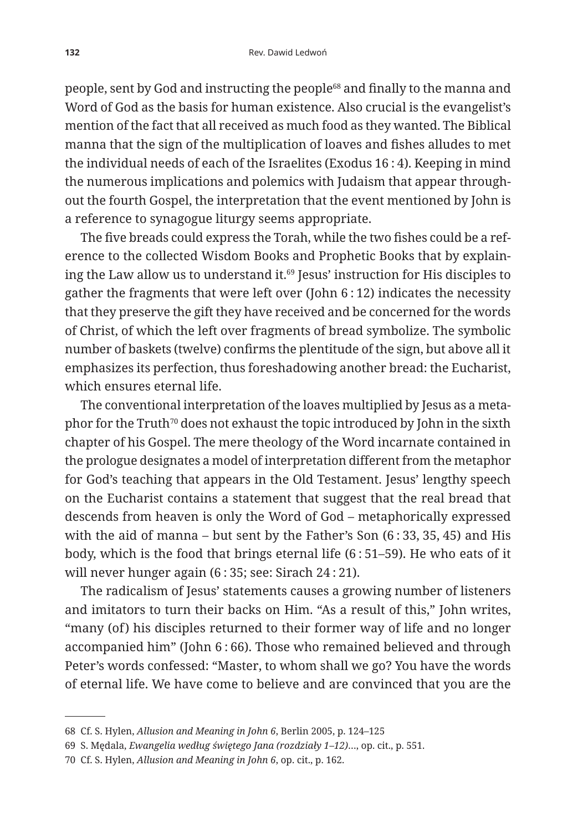people, sent by God and instructing the people68 and finally to the manna and Word of God as the basis for human existence. Also crucial is the evangelist's mention of the fact that all received as much food as they wanted. The Biblical manna that the sign of the multiplication of loaves and fishes alludes to met the individual needs of each of the Israelites (Exodus 16 : 4). Keeping in mind the numerous implications and polemics with Judaism that appear throughout the fourth Gospel, the interpretation that the event mentioned by John is a reference to synagogue liturgy seems appropriate.

The five breads could express the Torah, while the two fishes could be a reference to the collected Wisdom Books and Prophetic Books that by explaining the Law allow us to understand it.<sup>69</sup> Jesus' instruction for His disciples to gather the fragments that were left over (John 6 : 12) indicates the necessity that they preserve the gift they have received and be concerned for the words of Christ, of which the left over fragments of bread symbolize. The symbolic number of baskets (twelve) confirms the plentitude of the sign, but above all it emphasizes its perfection, thus foreshadowing another bread: the Eucharist, which ensures eternal life.

The conventional interpretation of the loaves multiplied by Jesus as a metaphor for the Truth<sup>70</sup> does not exhaust the topic introduced by John in the sixth chapter of his Gospel. The mere theology of the Word incarnate contained in the prologue designates a model of interpretation different from the metaphor for God's teaching that appears in the Old Testament. Jesus' lengthy speech on the Eucharist contains a statement that suggest that the real bread that descends from heaven is only the Word of God – metaphorically expressed with the aid of manna – but sent by the Father's Son (6 : 33, 35, 45) and His body, which is the food that brings eternal life (6 : 51–59). He who eats of it will never hunger again (6 : 35; see: Sirach 24 : 21).

The radicalism of Jesus' statements causes a growing number of listeners and imitators to turn their backs on Him. "As a result of this," John writes, "many (of) his disciples returned to their former way of life and no longer accompanied him" (John 6 : 66). Those who remained believed and through Peter's words confessed: "Master, to whom shall we go? You have the words of eternal life. We have come to believe and are convinced that you are the

<sup>68</sup> Cf. S. Hylen, *Allusion and Meaning in John 6*, Berlin 2005, p. 124–125

<sup>69</sup> S. Mędala, *Ewangelia według świętego Jana (rozdziały 1–12)*…, op. cit., p. 551.

<sup>70</sup> Cf. S. Hylen, *Allusion and Meaning in John 6*, op. cit., p. 162.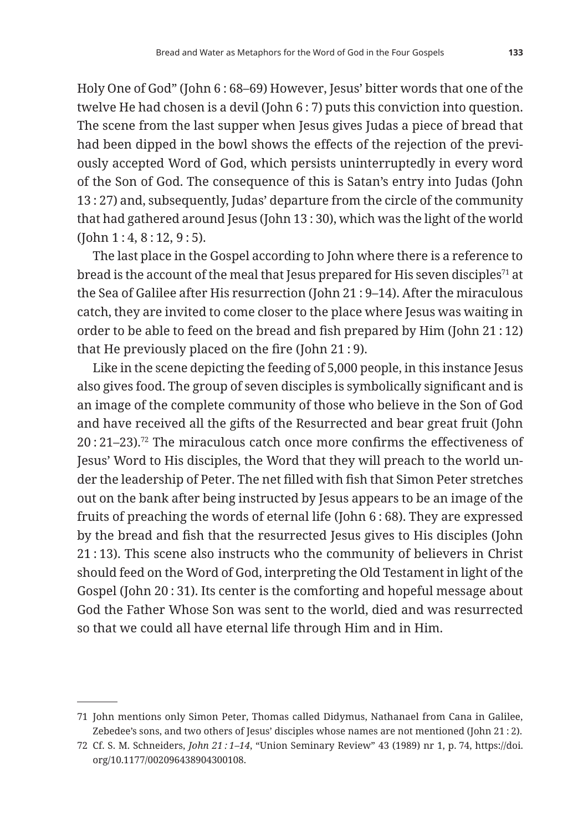Holy One of God" (John 6 : 68–69) However, Jesus' bitter words that one of the twelve He had chosen is a devil (John 6 : 7) puts this conviction into question. The scene from the last supper when Jesus gives Judas a piece of bread that had been dipped in the bowl shows the effects of the rejection of the previously accepted Word of God, which persists uninterruptedly in every word of the Son of God. The consequence of this is Satan's entry into Judas (John 13 : 27) and, subsequently, Judas' departure from the circle of the community that had gathered around Jesus (John 13 : 30), which was the light of the world (John 1 : 4, 8 : 12, 9 : 5).

The last place in the Gospel according to John where there is a reference to bread is the account of the meal that Jesus prepared for His seven disciples<sup>71</sup> at the Sea of Galilee after His resurrection (John 21 : 9–14). After the miraculous catch, they are invited to come closer to the place where Jesus was waiting in order to be able to feed on the bread and fish prepared by Him (John 21 : 12) that He previously placed on the fire (John 21 : 9).

Like in the scene depicting the feeding of 5,000 people, in this instance Jesus also gives food. The group of seven disciples is symbolically significant and is an image of the complete community of those who believe in the Son of God and have received all the gifts of the Resurrected and bear great fruit (John 20 : 21–23).72 The miraculous catch once more confirms the effectiveness of Jesus' Word to His disciples, the Word that they will preach to the world under the leadership of Peter. The net filled with fish that Simon Peter stretches out on the bank after being instructed by Jesus appears to be an image of the fruits of preaching the words of eternal life (John 6 : 68). They are expressed by the bread and fish that the resurrected Jesus gives to His disciples (John 21 : 13). This scene also instructs who the community of believers in Christ should feed on the Word of God, interpreting the Old Testament in light of the Gospel (John 20 : 31). Its center is the comforting and hopeful message about God the Father Whose Son was sent to the world, died and was resurrected so that we could all have eternal life through Him and in Him.

<sup>71</sup> John mentions only Simon Peter, Thomas called Didymus, Nathanael from Cana in Galilee, Zebedee's sons, and two others of Jesus' disciples whose names are not mentioned (John 21:2).

<sup>72</sup> Cf. S. M. Schneiders, *John 21 : 1–14*, "Union Seminary Review" 43 (1989) nr 1, p. 74, https://doi. org/10.1177/002096438904300108.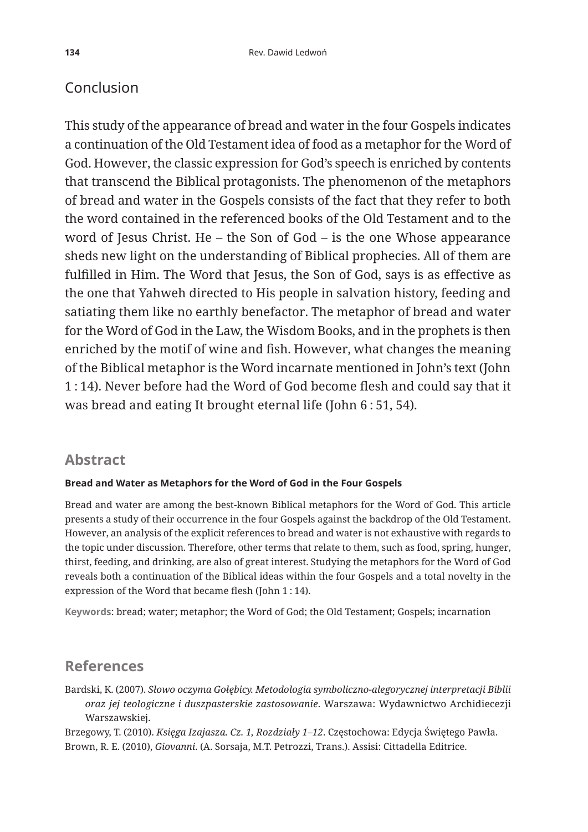## Conclusion

This study of the appearance of bread and water in the four Gospels indicates a continuation of the Old Testament idea of food as a metaphor for the Word of God. However, the classic expression for God's speech is enriched by contents that transcend the Biblical protagonists. The phenomenon of the metaphors of bread and water in the Gospels consists of the fact that they refer to both the word contained in the referenced books of the Old Testament and to the word of Jesus Christ. He – the Son of God – is the one Whose appearance sheds new light on the understanding of Biblical prophecies. All of them are fulfilled in Him. The Word that Jesus, the Son of God, says is as effective as the one that Yahweh directed to His people in salvation history, feeding and satiating them like no earthly benefactor. The metaphor of bread and water for the Word of God in the Law, the Wisdom Books, and in the prophets is then enriched by the motif of wine and fish. However, what changes the meaning of the Biblical metaphor is the Word incarnate mentioned in John's text (John 1 : 14). Never before had the Word of God become flesh and could say that it was bread and eating It brought eternal life (John 6 : 51, 54).

### **Abstract**

#### **Bread and Water as Metaphors for the Word of God in the Four Gospels**

Bread and water are among the best-known Biblical metaphors for the Word of God. This article presents a study of their occurrence in the four Gospels against the backdrop of the Old Testament. However, an analysis of the explicit references to bread and water is not exhaustive with regards to the topic under discussion. Therefore, other terms that relate to them, such as food, spring, hunger, thirst, feeding, and drinking, are also of great interest. Studying the metaphors for the Word of God reveals both a continuation of the Biblical ideas within the four Gospels and a total novelty in the expression of the Word that became flesh (John 1 : 14).

**Keywords**: bread; water; metaphor; the Word of God; the Old Testament; Gospels; incarnation

#### **References**

Bardski, K. (2007). *Słowo oczyma Gołębicy. Metodologia symboliczno-alegorycznej interpretacji Biblii oraz jej teologiczne i duszpasterskie zastosowanie*. Warszawa: Wydawnictwo Archidiecezji Warszawskiej.

Brzegowy, T. (2010). *Księga Izajasza. Cz. 1, Rozdziały 1–12*. Częstochowa: Edycja Świętego Pawła. Brown, R. E. (2010), *Giovanni*. (A. Sorsaja, M.T. Petrozzi, Trans.). Assisi: Cittadella Editrice.